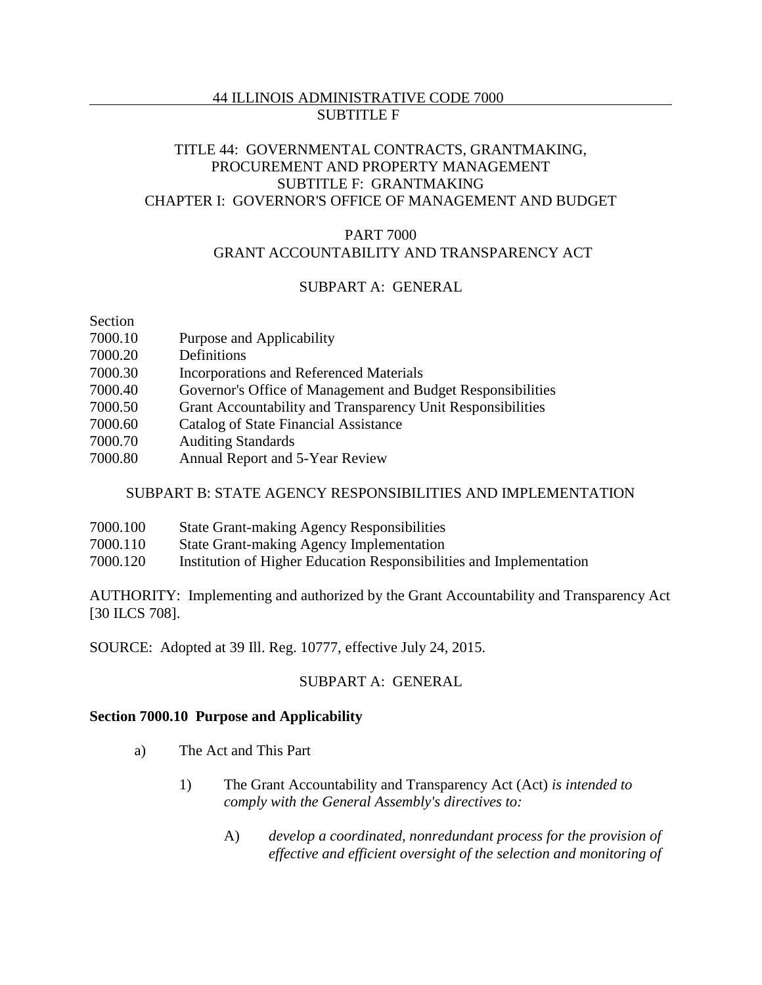# TITLE 44: GOVERNMENTAL CONTRACTS, GRANTMAKING, PROCUREMENT AND PROPERTY MANAGEMENT SUBTITLE F: GRANTMAKING CHAPTER I: GOVERNOR'S OFFICE OF MANAGEMENT AND BUDGET

### PART 7000 GRANT ACCOUNTABILITY AND TRANSPARENCY ACT

# SUBPART A: GENERAL

Section

- 7000.10 Purpose and Applicability
- 7000.20 Definitions
- 7000.30 Incorporations and Referenced Materials
- 7000.40 Governor's Office of Management and Budget Responsibilities
- 7000.50 Grant Accountability and Transparency Unit Responsibilities
- 7000.60 Catalog of State Financial Assistance
- 7000.70 Auditing Standards
- 7000.80 Annual Report and 5-Year Review

# SUBPART B: STATE AGENCY RESPONSIBILITIES AND IMPLEMENTATION

- 7000.100 State Grant-making Agency Responsibilities
- 7000.110 State Grant-making Agency Implementation
- 7000.120 Institution of Higher Education Responsibilities and Implementation

AUTHORITY: Implementing and authorized by the Grant Accountability and Transparency Act [30 ILCS 708].

SOURCE: Adopted at 39 Ill. Reg. 10777, effective July 24, 2015.

# SUBPART A: GENERAL

### **Section 7000.10 Purpose and Applicability**

- a) The Act and This Part
	- 1) The Grant Accountability and Transparency Act (Act) *is intended to comply with the General Assembly's directives to:*
		- A) *develop a coordinated, nonredundant process for the provision of effective and efficient oversight of the selection and monitoring of*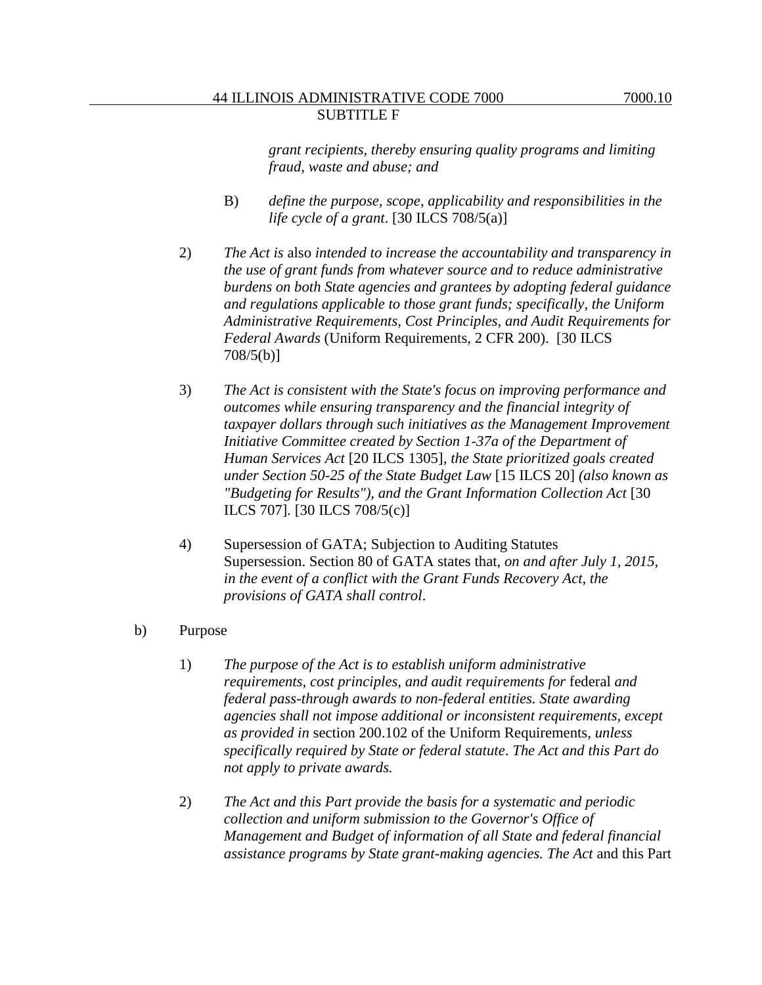*grant recipients, thereby ensuring quality programs and limiting fraud, waste and abuse; and* 

- B) *define the purpose, scope, applicability and responsibilities in the life cycle of a grant*. [30 ILCS 708/5(a)]
- 2) *The Act is* also *intended to increase the accountability and transparency in the use of grant funds from whatever source and to reduce administrative burdens on both State agencies and grantees by adopting federal guidance and regulations applicable to those grant funds; specifically, the Uniform Administrative Requirements, Cost Principles, and Audit Requirements for Federal Awards* (Uniform Requirements, 2 CFR 200). [30 ILCS 708/5(b)]
- 3) *The Act is consistent with the State's focus on improving performance and outcomes while ensuring transparency and the financial integrity of taxpayer dollars through such initiatives as the Management Improvement Initiative Committee created by Section 1-37a of the Department of Human Services Act* [20 ILCS 1305]*, the State prioritized goals created under Section 50-25 of the State Budget Law* [15 ILCS 20] *(also known as "Budgeting for Results"), and the Grant Information Collection Act* [30 ILCS 707]*.* [30 ILCS 708/5(c)]
- 4) Supersession of GATA; Subjection to Auditing Statutes Supersession. Section 80 of GATA states that, *on and after July 1, 2015, in the event of a conflict with the Grant Funds Recovery Act, the provisions of GATA shall control*.
- b) Purpose
	- 1) *The purpose of the Act is to establish uniform administrative requirements, cost principles, and audit requirements for* federal *and federal pass-through awards to non-federal entities. State awarding agencies shall not impose additional or inconsistent requirements, except as provided in* section 200.102 of the Uniform Requirements, *unless specifically required by State or federal statute*. *The Act and this Part do not apply to private awards.*
	- 2) *The Act and this Part provide the basis for a systematic and periodic collection and uniform submission to the Governor's Office of Management and Budget of information of all State and federal financial assistance programs by State grant-making agencies. The Act* and this Part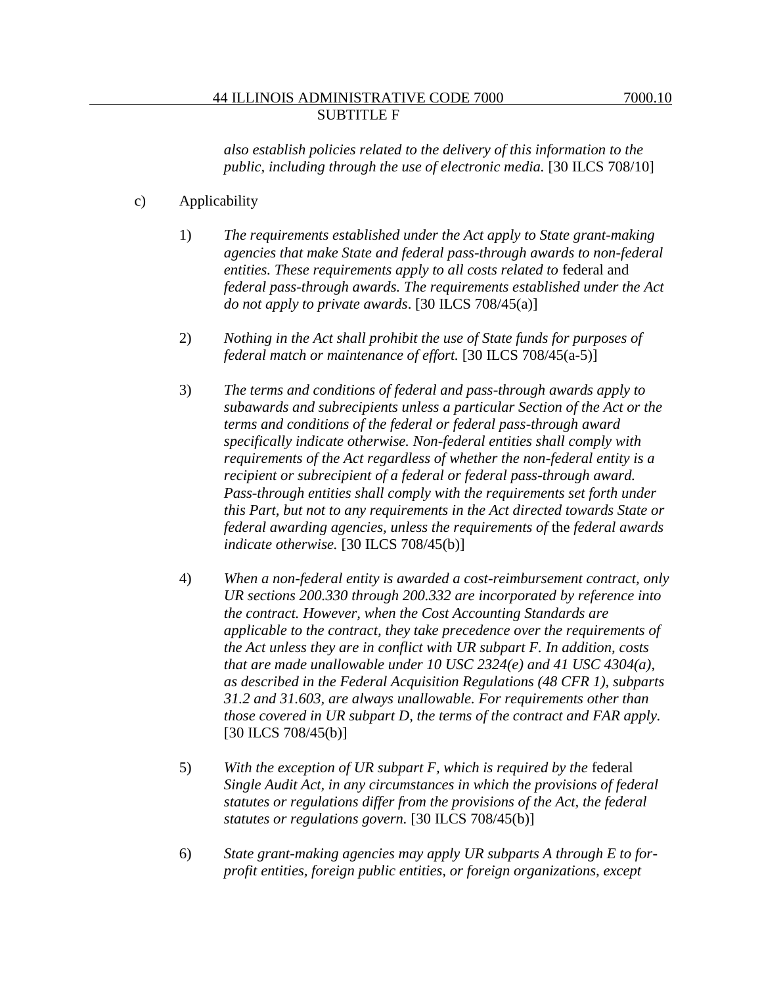*also establish policies related to the delivery of this information to the public, including through the use of electronic media.* [30 ILCS 708/10]

- c) Applicability
	- 1) *The requirements established under the Act apply to State grant-making agencies that make State and federal pass-through awards to non-federal*  entities. These requirements apply to all costs related to federal and *federal pass-through awards. The requirements established under the Act do not apply to private awards*. [30 ILCS 708/45(a)]
	- 2) *Nothing in the Act shall prohibit the use of State funds for purposes of federal match or maintenance of effort.* [30 ILCS 708/45(a-5)]
	- 3) *The terms and conditions of federal and pass-through awards apply to subawards and subrecipients unless a particular Section of the Act or the terms and conditions of the federal or federal pass-through award specifically indicate otherwise. Non-federal entities shall comply with requirements of the Act regardless of whether the non-federal entity is a recipient or subrecipient of a federal or federal pass-through award. Pass-through entities shall comply with the requirements set forth under this Part, but not to any requirements in the Act directed towards State or federal awarding agencies, unless the requirements of* the *federal awards indicate otherwise.* [30 ILCS 708/45(b)]
	- 4) *When a non-federal entity is awarded a cost-reimbursement contract, only UR sections 200.330 through 200.332 are incorporated by reference into the contract. However, when the Cost Accounting Standards are applicable to the contract, they take precedence over the requirements of the Act unless they are in conflict with UR subpart F. In addition, costs that are made unallowable under 10 USC 2324(e) and 41 USC 4304(a), as described in the Federal Acquisition Regulations (48 CFR 1), subparts 31.2 and 31.603, are always unallowable. For requirements other than those covered in UR subpart D, the terms of the contract and FAR apply.*  [30 ILCS 708/45(b)]
	- 5) *With the exception of UR subpart F, which is required by the* federal *Single Audit Act, in any circumstances in which the provisions of federal statutes or regulations differ from the provisions of the Act, the federal statutes or regulations govern.* [30 ILCS 708/45(b)]
	- 6) *State grant-making agencies may apply UR subparts A through E to forprofit entities, foreign public entities, or foreign organizations, except*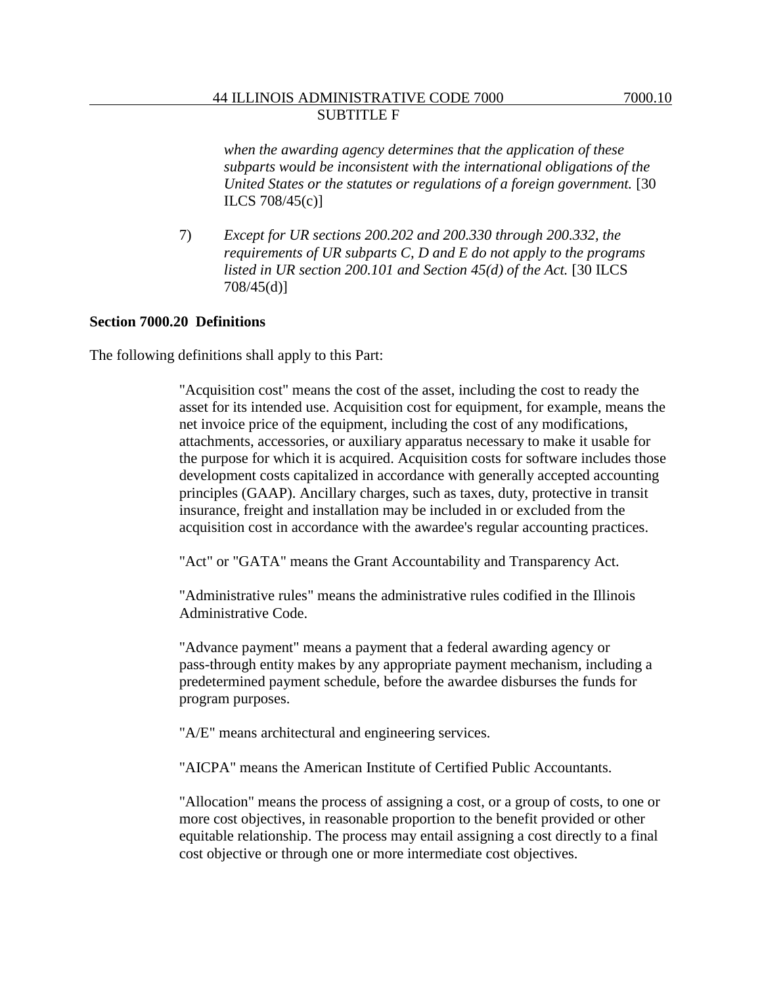*when the awarding agency determines that the application of these subparts would be inconsistent with the international obligations of the United States or the statutes or regulations of a foreign government.* [30 ILCS 708/45(c)]

7) *Except for UR sections 200.202 and 200.330 through 200.332, the requirements of UR subparts C, D and E do not apply to the programs listed in UR section 200.101 and Section 45(d) of the Act.* [30 ILCS 708/45(d)]

#### **Section 7000.20 Definitions**

The following definitions shall apply to this Part:

"Acquisition cost" means the cost of the asset, including the cost to ready the asset for its intended use. Acquisition cost for equipment, for example, means the net invoice price of the equipment, including the cost of any modifications, attachments, accessories, or auxiliary apparatus necessary to make it usable for the purpose for which it is acquired. Acquisition costs for software includes those development costs capitalized in accordance with generally accepted accounting principles (GAAP). Ancillary charges, such as taxes, duty, protective in transit insurance, freight and installation may be included in or excluded from the acquisition cost in accordance with the awardee's regular accounting practices.

"Act" or "GATA" means the Grant Accountability and Transparency Act.

"Administrative rules" means the administrative rules codified in the Illinois Administrative Code.

"Advance payment" means a payment that a federal awarding agency or pass-through entity makes by any appropriate payment mechanism, including a predetermined payment schedule, before the awardee disburses the funds for program purposes.

"A/E" means architectural and engineering services.

"AICPA" means the American Institute of Certified Public Accountants.

"Allocation" means the process of assigning a cost, or a group of costs, to one or more cost objectives, in reasonable proportion to the benefit provided or other equitable relationship. The process may entail assigning a cost directly to a final cost objective or through one or more intermediate cost objectives.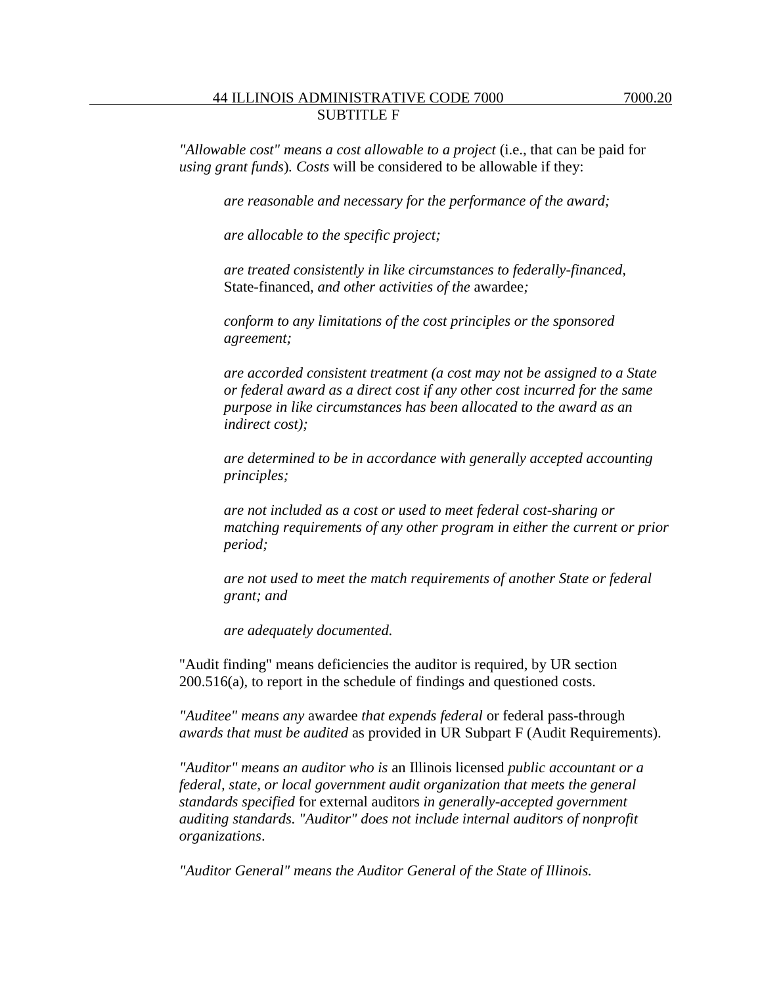*"Allowable cost" means a cost allowable to a project* (i.e., that can be paid for *using grant funds*)*. Costs* will be considered to be allowable if they:

*are reasonable and necessary for the performance of the award;*

*are allocable to the specific project;*

*are treated consistently in like circumstances to federally-financed,* State-financed, *and other activities of the* awardee*;*

*conform to any limitations of the cost principles or the sponsored agreement;*

*are accorded consistent treatment (a cost may not be assigned to a State or federal award as a direct cost if any other cost incurred for the same purpose in like circumstances has been allocated to the award as an indirect cost);*

*are determined to be in accordance with generally accepted accounting principles;*

*are not included as a cost or used to meet federal cost-sharing or matching requirements of any other program in either the current or prior period;*

*are not used to meet the match requirements of another State or federal grant; and*

*are adequately documented.*

"Audit finding" means deficiencies the auditor is required, by UR section 200.516(a), to report in the schedule of findings and questioned costs.

*"Auditee" means any* awardee *that expends federal* or federal pass-through *awards that must be audited* as provided in UR Subpart F (Audit Requirements).

*"Auditor" means an auditor who is* an Illinois licensed *public accountant or a federal, state, or local government audit organization that meets the general standards specified* for external auditors *in generally-accepted government auditing standards. "Auditor" does not include internal auditors of nonprofit organizations*.

*"Auditor General" means the Auditor General of the State of Illinois.*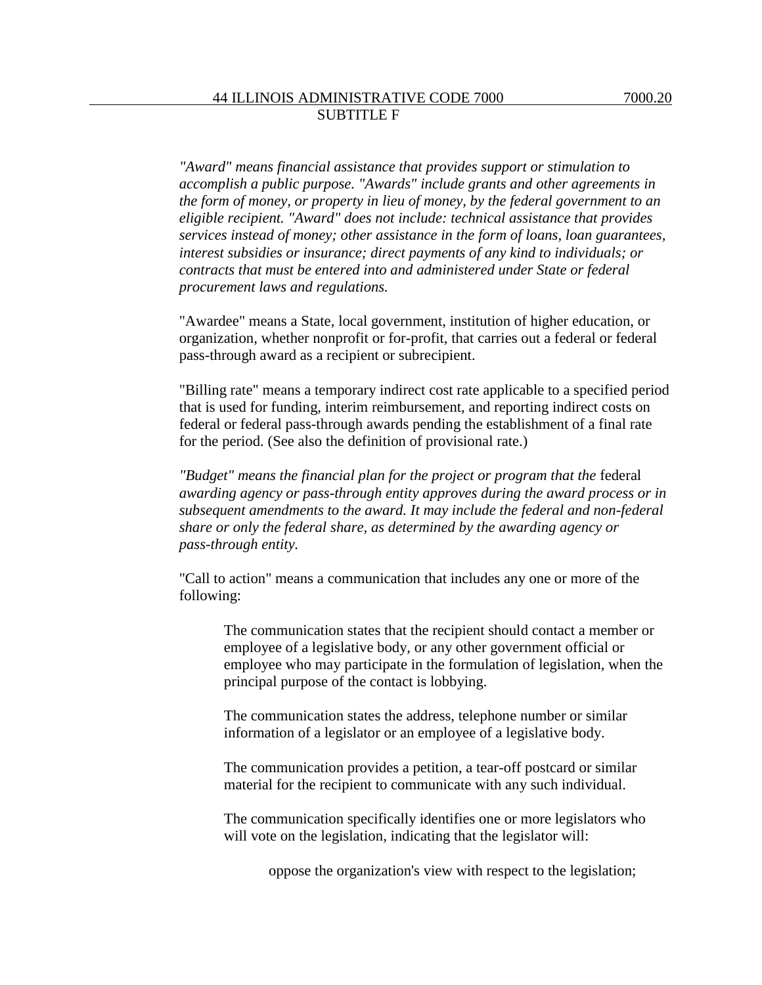*"Award" means financial assistance that provides support or stimulation to accomplish a public purpose. "Awards" include grants and other agreements in the form of money, or property in lieu of money, by the federal government to an eligible recipient. "Award" does not include: technical assistance that provides services instead of money; other assistance in the form of loans, loan guarantees, interest subsidies or insurance; direct payments of any kind to individuals; or contracts that must be entered into and administered under State or federal procurement laws and regulations.*

"Awardee" means a State, local government, institution of higher education, or organization, whether nonprofit or for-profit, that carries out a federal or federal pass-through award as a recipient or subrecipient.

"Billing rate" means a temporary indirect cost rate applicable to a specified period that is used for funding, interim reimbursement, and reporting indirect costs on federal or federal pass-through awards pending the establishment of a final rate for the period. (See also the definition of provisional rate.)

*"Budget" means the financial plan for the project or program that the* federal *awarding agency or pass-through entity approves during the award process or in subsequent amendments to the award. It may include the federal and non-federal share or only the federal share, as determined by the awarding agency or pass-through entity.*

"Call to action" means a communication that includes any one or more of the following:

The communication states that the recipient should contact a member or employee of a legislative body, or any other government official or employee who may participate in the formulation of legislation, when the principal purpose of the contact is lobbying.

The communication states the address, telephone number or similar information of a legislator or an employee of a legislative body.

The communication provides a petition, a tear-off postcard or similar material for the recipient to communicate with any such individual.

The communication specifically identifies one or more legislators who will vote on the legislation, indicating that the legislator will:

oppose the organization's view with respect to the legislation;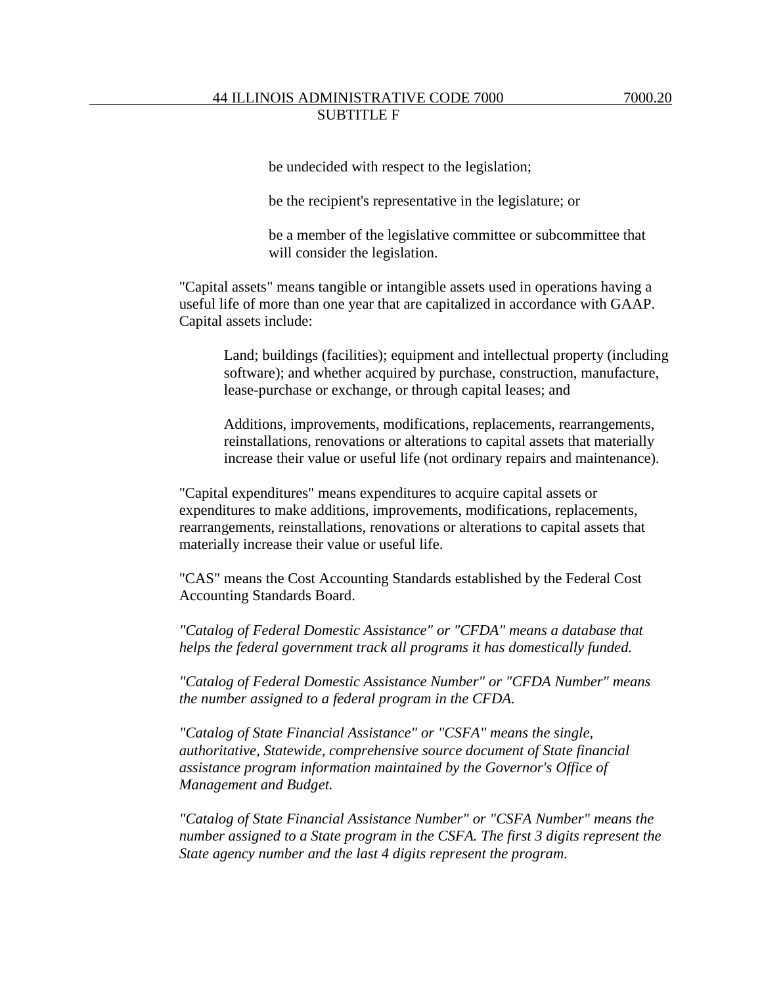be undecided with respect to the legislation;

be the recipient's representative in the legislature; or

be a member of the legislative committee or subcommittee that will consider the legislation.

"Capital assets" means tangible or intangible assets used in operations having a useful life of more than one year that are capitalized in accordance with GAAP. Capital assets include:

Land; buildings (facilities); equipment and intellectual property (including software); and whether acquired by purchase, construction, manufacture, lease-purchase or exchange, or through capital leases; and

Additions, improvements, modifications, replacements, rearrangements, reinstallations, renovations or alterations to capital assets that materially increase their value or useful life (not ordinary repairs and maintenance).

"Capital expenditures" means expenditures to acquire capital assets or expenditures to make additions, improvements, modifications, replacements, rearrangements, reinstallations, renovations or alterations to capital assets that materially increase their value or useful life.

"CAS" means the Cost Accounting Standards established by the Federal Cost Accounting Standards Board.

*"Catalog of Federal Domestic Assistance" or "CFDA" means a database that helps the federal government track all programs it has domestically funded.*

*"Catalog of Federal Domestic Assistance Number" or "CFDA Number" means the number assigned to a federal program in the CFDA.*

*"Catalog of State Financial Assistance" or "CSFA" means the single, authoritative, Statewide, comprehensive source document of State financial assistance program information maintained by the Governor's Office of Management and Budget.*

*"Catalog of State Financial Assistance Number" or "CSFA Number" means the number assigned to a State program in the CSFA. The first 3 digits represent the State agency number and the last 4 digits represent the program.*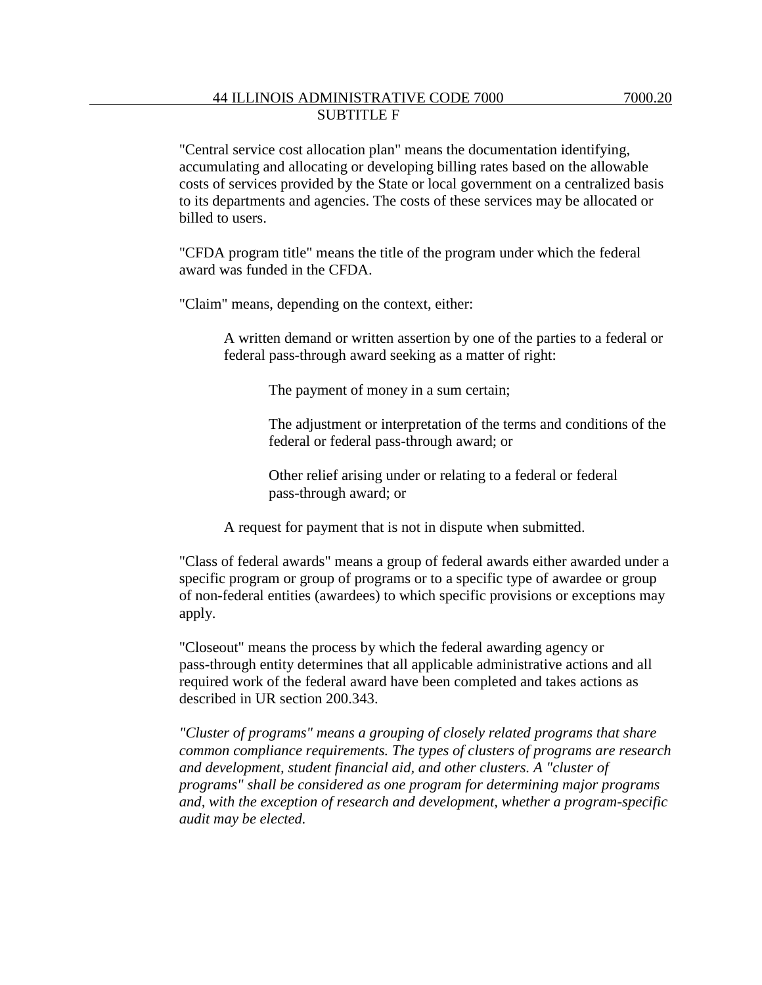"Central service cost allocation plan" means the documentation identifying, accumulating and allocating or developing billing rates based on the allowable costs of services provided by the State or local government on a centralized basis to its departments and agencies. The costs of these services may be allocated or

"CFDA program title" means the title of the program under which the federal award was funded in the CFDA.

"Claim" means, depending on the context, either:

billed to users.

A written demand or written assertion by one of the parties to a federal or federal pass-through award seeking as a matter of right:

The payment of money in a sum certain;

The adjustment or interpretation of the terms and conditions of the federal or federal pass-through award; or

Other relief arising under or relating to a federal or federal pass-through award; or

A request for payment that is not in dispute when submitted.

"Class of federal awards" means a group of federal awards either awarded under a specific program or group of programs or to a specific type of awardee or group of non-federal entities (awardees) to which specific provisions or exceptions may apply.

"Closeout" means the process by which the federal awarding agency or pass-through entity determines that all applicable administrative actions and all required work of the federal award have been completed and takes actions as described in UR section 200.343.

*"Cluster of programs" means a grouping of closely related programs that share common compliance requirements. The types of clusters of programs are research and development, student financial aid, and other clusters. A "cluster of programs" shall be considered as one program for determining major programs and, with the exception of research and development, whether a program-specific audit may be elected.*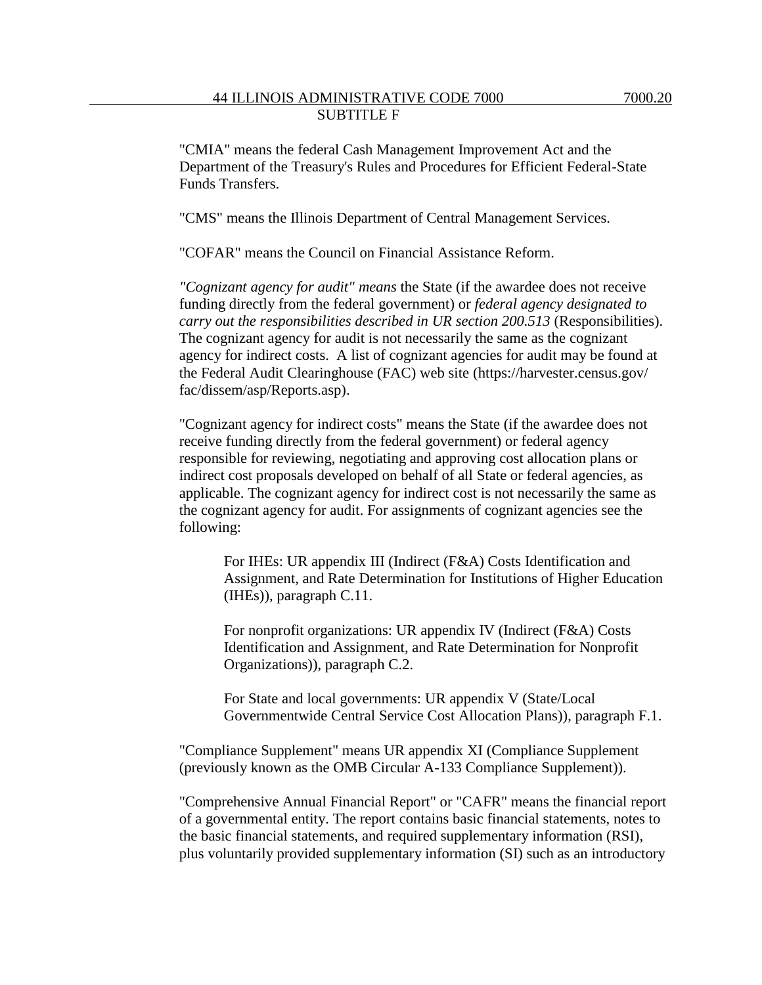"CMIA" means the federal Cash Management Improvement Act and the Department of the Treasury's Rules and Procedures for Efficient Federal-State Funds Transfers.

"CMS" means the Illinois Department of Central Management Services.

"COFAR" means the Council on Financial Assistance Reform.

*"Cognizant agency for audit" means* the State (if the awardee does not receive funding directly from the federal government) or *federal agency designated to carry out the responsibilities described in UR section 200.513* (Responsibilities). The cognizant agency for audit is not necessarily the same as the cognizant agency for indirect costs. A list of cognizant agencies for audit may be found at the Federal Audit Clearinghouse (FAC) web site (https://harvester.census.gov/ fac/dissem/asp/Reports.asp).

"Cognizant agency for indirect costs" means the State (if the awardee does not receive funding directly from the federal government) or federal agency responsible for reviewing, negotiating and approving cost allocation plans or indirect cost proposals developed on behalf of all State or federal agencies, as applicable. The cognizant agency for indirect cost is not necessarily the same as the cognizant agency for audit. For assignments of cognizant agencies see the following:

For IHEs: UR appendix III (Indirect (F&A) Costs Identification and Assignment, and Rate Determination for Institutions of Higher Education (IHEs)), paragraph C.11.

For nonprofit organizations: UR appendix IV (Indirect (F&A) Costs Identification and Assignment, and Rate Determination for Nonprofit Organizations)), paragraph C.2.

For State and local governments: UR appendix V (State/Local Governmentwide Central Service Cost Allocation Plans)), paragraph F.1.

"Compliance Supplement" means UR appendix XI (Compliance Supplement (previously known as the OMB Circular A-133 Compliance Supplement)).

"Comprehensive Annual Financial Report" or "CAFR" means the financial report of a governmental entity. The report contains basic financial statements, notes to the basic financial statements, and required supplementary information (RSI), plus voluntarily provided supplementary information (SI) such as an introductory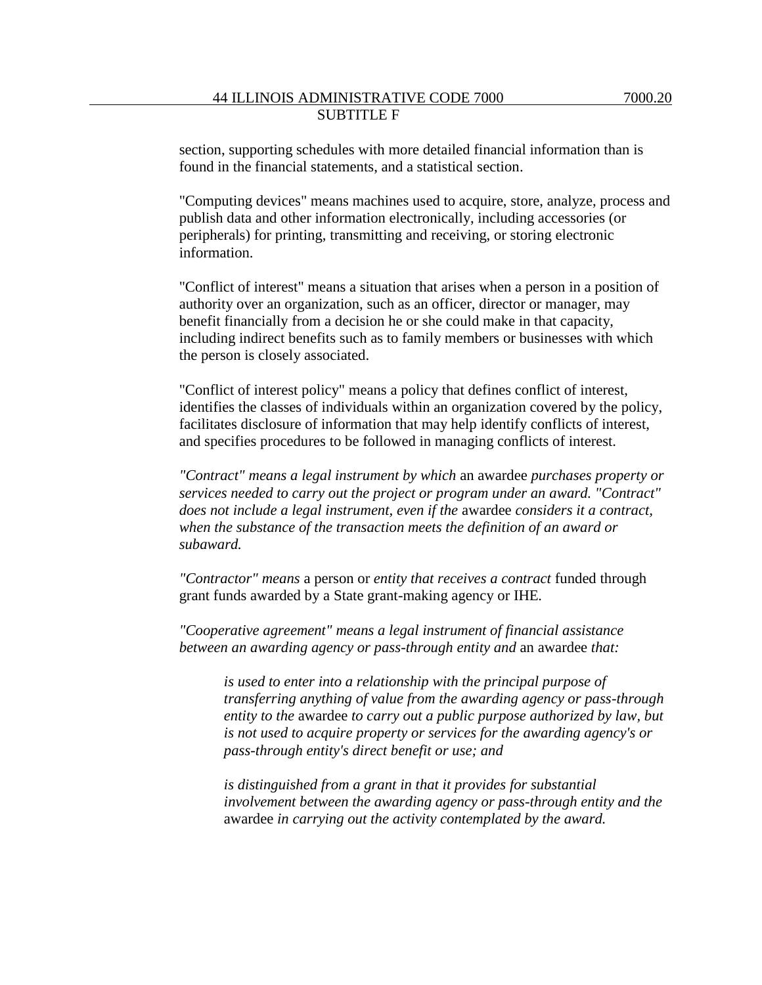section, supporting schedules with more detailed financial information than is found in the financial statements, and a statistical section.

"Computing devices" means machines used to acquire, store, analyze, process and publish data and other information electronically, including accessories (or peripherals) for printing, transmitting and receiving, or storing electronic information.

"Conflict of interest" means a situation that arises when a person in a position of authority over an organization, such as an officer, director or manager, may benefit financially from a decision he or she could make in that capacity, including indirect benefits such as to family members or businesses with which the person is closely associated.

"Conflict of interest policy" means a policy that defines conflict of interest, identifies the classes of individuals within an organization covered by the policy, facilitates disclosure of information that may help identify conflicts of interest, and specifies procedures to be followed in managing conflicts of interest.

*"Contract" means a legal instrument by which* an awardee *purchases property or services needed to carry out the project or program under an award. "Contract" does not include a legal instrument, even if the* awardee *considers it a contract, when the substance of the transaction meets the definition of an award or subaward.*

*"Contractor" means* a person or *entity that receives a contract* funded through grant funds awarded by a State grant-making agency or IHE*.*

*"Cooperative agreement" means a legal instrument of financial assistance between an awarding agency or pass-through entity and* an awardee *that:*

*is used to enter into a relationship with the principal purpose of transferring anything of value from the awarding agency or pass-through entity to the* awardee *to carry out a public purpose authorized by law, but is not used to acquire property or services for the awarding agency's or pass-through entity's direct benefit or use; and* 

*is distinguished from a grant in that it provides for substantial involvement between the awarding agency or pass-through entity and the*  awardee *in carrying out the activity contemplated by the award.*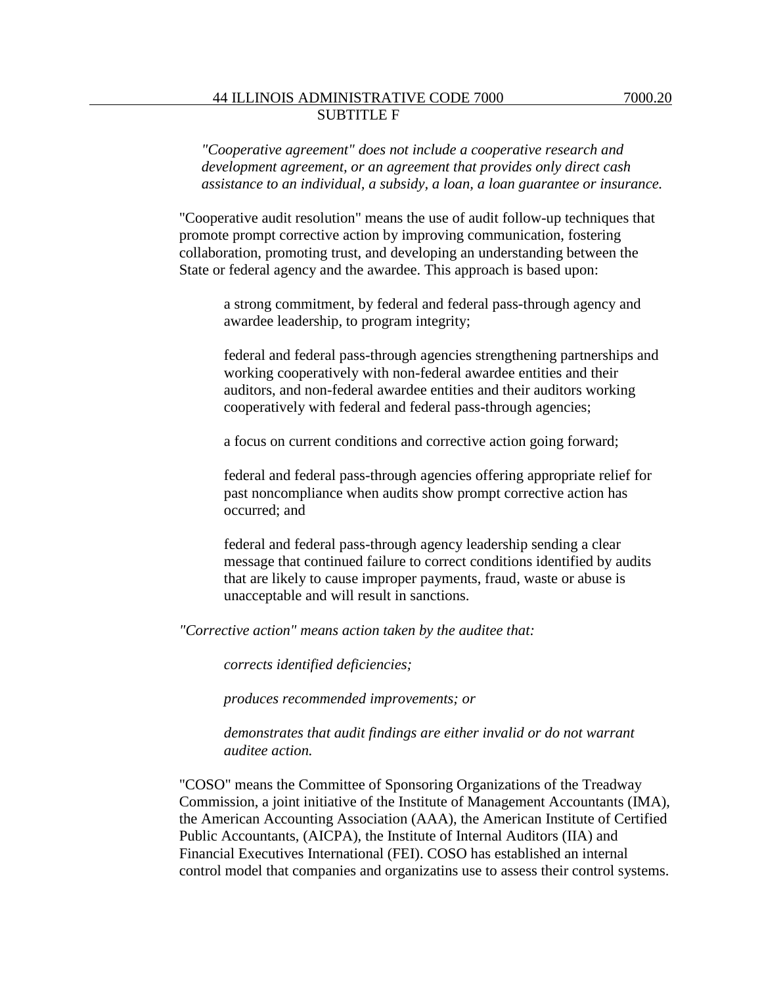*"Cooperative agreement" does not include a cooperative research and development agreement, or an agreement that provides only direct cash assistance to an individual, a subsidy, a loan, a loan guarantee or insurance.*

"Cooperative audit resolution" means the use of audit follow-up techniques that promote prompt corrective action by improving communication, fostering collaboration, promoting trust, and developing an understanding between the State or federal agency and the awardee. This approach is based upon:

a strong commitment, by federal and federal pass-through agency and awardee leadership, to program integrity;

federal and federal pass-through agencies strengthening partnerships and working cooperatively with non-federal awardee entities and their auditors, and non-federal awardee entities and their auditors working cooperatively with federal and federal pass-through agencies;

a focus on current conditions and corrective action going forward;

federal and federal pass-through agencies offering appropriate relief for past noncompliance when audits show prompt corrective action has occurred; and

federal and federal pass-through agency leadership sending a clear message that continued failure to correct conditions identified by audits that are likely to cause improper payments, fraud, waste or abuse is unacceptable and will result in sanctions.

*"Corrective action" means action taken by the auditee that:*

*corrects identified deficiencies;*

*produces recommended improvements; or* 

*demonstrates that audit findings are either invalid or do not warrant auditee action.*

"COSO" means the Committee of Sponsoring Organizations of the Treadway Commission, a joint initiative of the Institute of Management Accountants (IMA), the American Accounting Association (AAA), the American Institute of Certified Public Accountants, (AICPA), the Institute of Internal Auditors (IIA) and Financial Executives International (FEI). COSO has established an internal control model that companies and organizatins use to assess their control systems.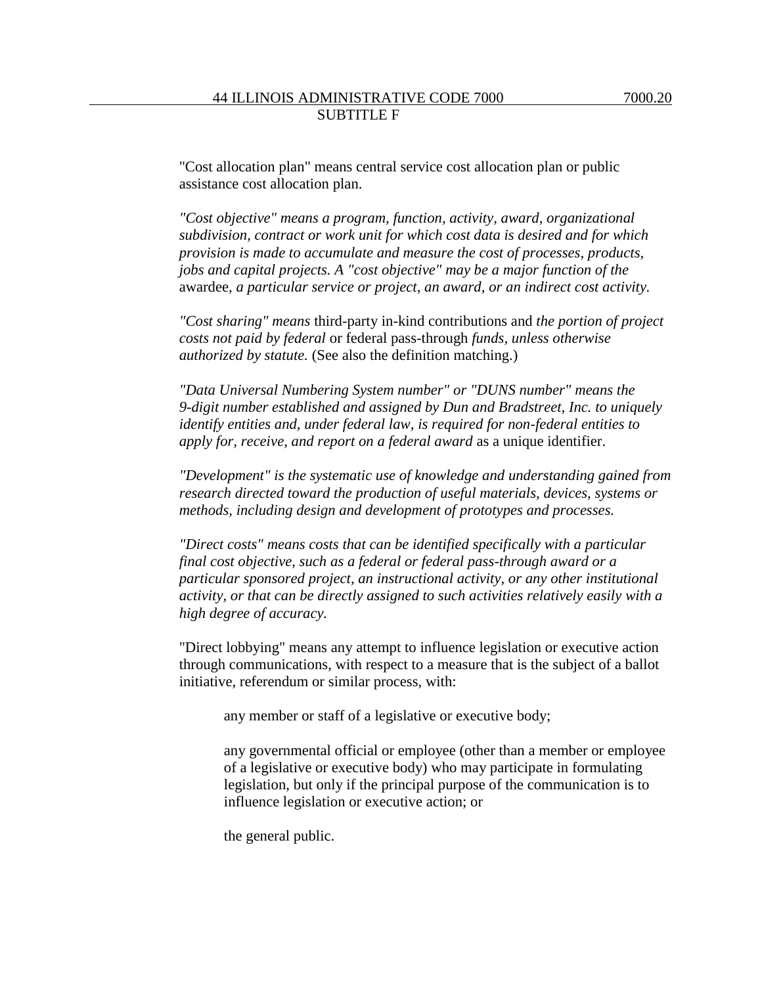"Cost allocation plan" means central service cost allocation plan or public assistance cost allocation plan.

*"Cost objective" means a program, function, activity, award, organizational subdivision, contract or work unit for which cost data is desired and for which provision is made to accumulate and measure the cost of processes, products, jobs and capital projects. A "cost objective" may be a major function of the*  awardee*, a particular service or project, an award, or an indirect cost activity.*

*"Cost sharing" means* third-party in-kind contributions and *the portion of project costs not paid by federal* or federal pass-through *funds, unless otherwise authorized by statute.* (See also the definition matching.)

*"Data Universal Numbering System number" or "DUNS number" means the 9-digit number established and assigned by Dun and Bradstreet, Inc. to uniquely identify entities and, under federal law, is required for non-federal entities to apply for, receive, and report on a federal award* as a unique identifier.

*"Development" is the systematic use of knowledge and understanding gained from research directed toward the production of useful materials, devices, systems or methods, including design and development of prototypes and processes.*

*"Direct costs" means costs that can be identified specifically with a particular final cost objective, such as a federal or federal pass-through award or a particular sponsored project, an instructional activity, or any other institutional activity, or that can be directly assigned to such activities relatively easily with a high degree of accuracy.*

"Direct lobbying" means any attempt to influence legislation or executive action through communications, with respect to a measure that is the subject of a ballot initiative, referendum or similar process, with:

any member or staff of a legislative or executive body;

any governmental official or employee (other than a member or employee of a legislative or executive body) who may participate in formulating legislation, but only if the principal purpose of the communication is to influence legislation or executive action; or

the general public.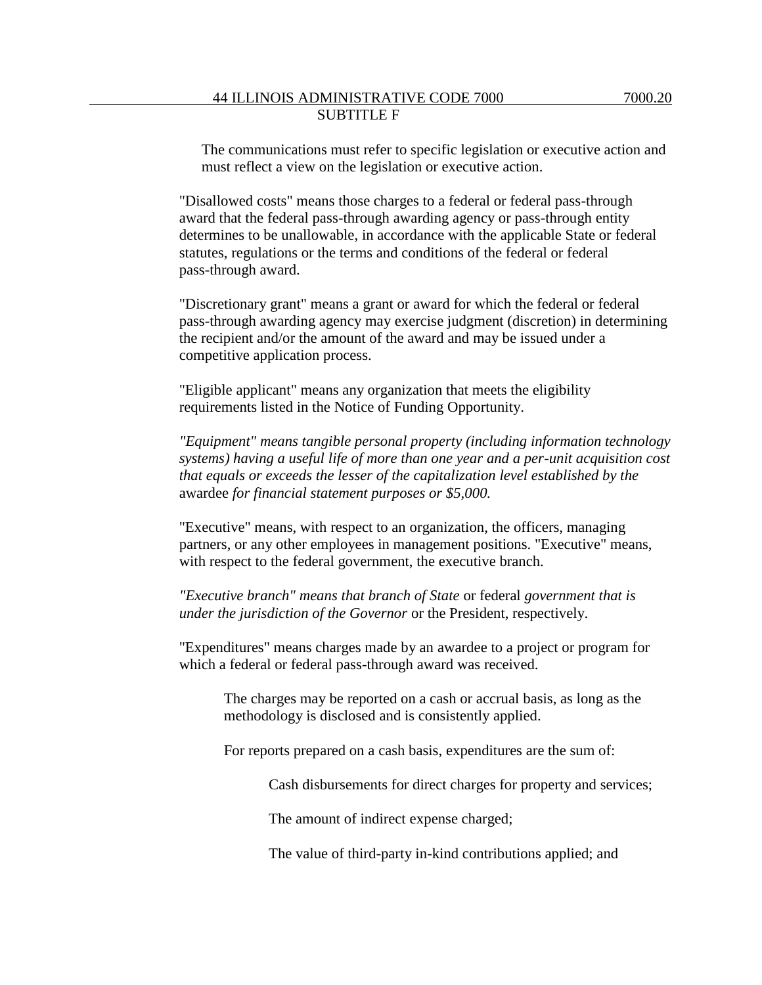The communications must refer to specific legislation or executive action and must reflect a view on the legislation or executive action.

"Disallowed costs" means those charges to a federal or federal pass-through award that the federal pass-through awarding agency or pass-through entity determines to be unallowable, in accordance with the applicable State or federal statutes, regulations or the terms and conditions of the federal or federal pass-through award.

"Discretionary grant" means a grant or award for which the federal or federal pass-through awarding agency may exercise judgment (discretion) in determining the recipient and/or the amount of the award and may be issued under a competitive application process.

"Eligible applicant" means any organization that meets the eligibility requirements listed in the Notice of Funding Opportunity.

*"Equipment" means tangible personal property (including information technology systems) having a useful life of more than one year and a per-unit acquisition cost that equals or exceeds the lesser of the capitalization level established by the*  awardee *for financial statement purposes or \$5,000.*

"Executive" means, with respect to an organization, the officers, managing partners, or any other employees in management positions. "Executive" means, with respect to the federal government, the executive branch.

*"Executive branch" means that branch of State* or federal *government that is under the jurisdiction of the Governor* or the President, respectively.

"Expenditures" means charges made by an awardee to a project or program for which a federal or federal pass-through award was received.

The charges may be reported on a cash or accrual basis, as long as the methodology is disclosed and is consistently applied.

For reports prepared on a cash basis, expenditures are the sum of:

Cash disbursements for direct charges for property and services;

The amount of indirect expense charged;

The value of third-party in-kind contributions applied; and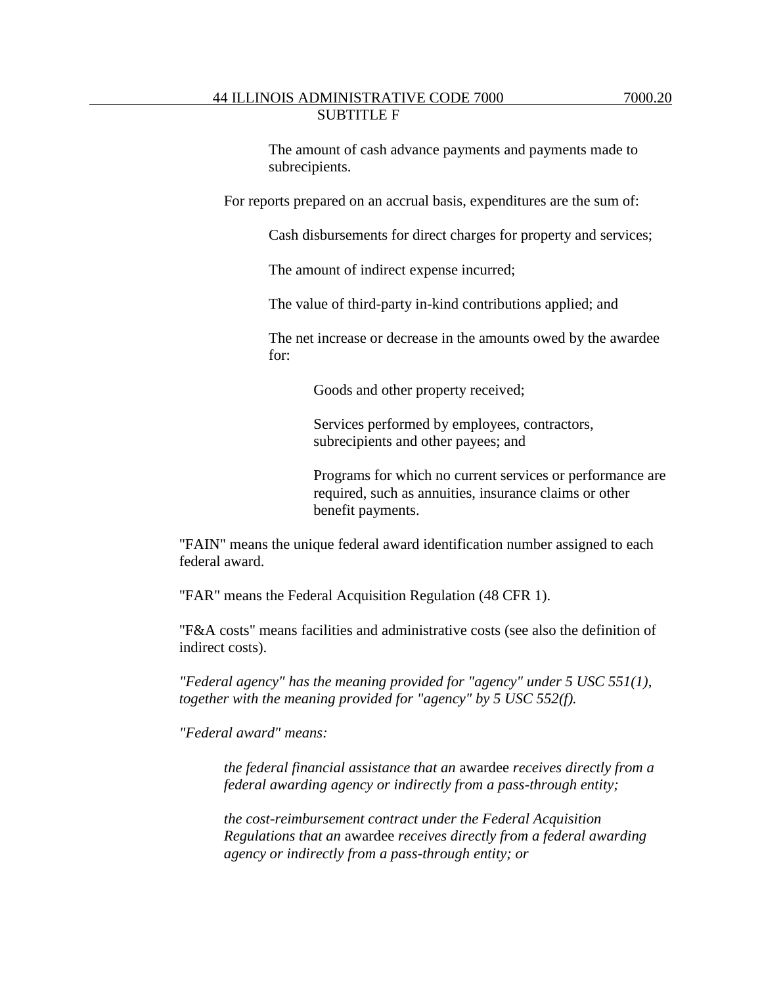For reports prepared on an accrual basis, expenditures are the sum of:

Cash disbursements for direct charges for property and services;

The amount of indirect expense incurred;

The value of third-party in-kind contributions applied; and

The net increase or decrease in the amounts owed by the awardee for:

Goods and other property received;

Services performed by employees, contractors, subrecipients and other payees; and

Programs for which no current services or performance are required, such as annuities, insurance claims or other benefit payments.

"FAIN" means the unique federal award identification number assigned to each federal award.

"FAR" means the Federal Acquisition Regulation (48 CFR 1).

"F&A costs" means facilities and administrative costs (see also the definition of indirect costs).

*"Federal agency" has the meaning provided for "agency" under 5 USC 551(1), together with the meaning provided for "agency" by 5 USC 552(f).*

*"Federal award" means:*

*the federal financial assistance that an* awardee *receives directly from a federal awarding agency or indirectly from a pass-through entity;*

*the cost-reimbursement contract under the Federal Acquisition Regulations that an* awardee *receives directly from a federal awarding agency or indirectly from a pass-through entity; or*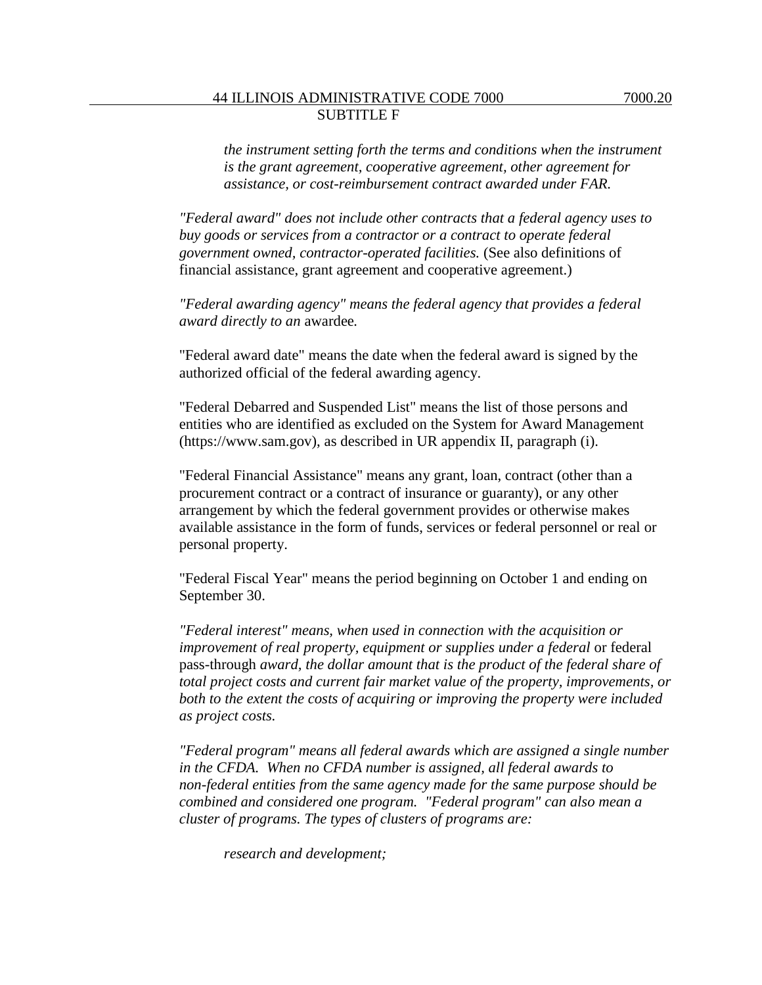*the instrument setting forth the terms and conditions when the instrument is the grant agreement, cooperative agreement, other agreement for assistance, or cost-reimbursement contract awarded under FAR.*

*"Federal award" does not include other contracts that a federal agency uses to buy goods or services from a contractor or a contract to operate federal government owned, contractor-operated facilities.* (See also definitions of financial assistance, grant agreement and cooperative agreement.)

*"Federal awarding agency" means the federal agency that provides a federal award directly to an* awardee*.*

"Federal award date" means the date when the federal award is signed by the authorized official of the federal awarding agency.

"Federal Debarred and Suspended List" means the list of those persons and entities who are identified as excluded on the System for Award Management (https://www.sam.gov), as described in UR appendix II, paragraph (i).

"Federal Financial Assistance" means any grant, loan, contract (other than a procurement contract or a contract of insurance or guaranty), or any other arrangement by which the federal government provides or otherwise makes available assistance in the form of funds, services or federal personnel or real or personal property.

"Federal Fiscal Year" means the period beginning on October 1 and ending on September 30.

*"Federal interest" means, when used in connection with the acquisition or improvement of real property, equipment or supplies under a federal or federal* pass-through *award, the dollar amount that is the product of the federal share of total project costs and current fair market value of the property, improvements, or both to the extent the costs of acquiring or improving the property were included as project costs.* 

*"Federal program" means all federal awards which are assigned a single number in the CFDA. When no CFDA number is assigned, all federal awards to non-federal entities from the same agency made for the same purpose should be combined and considered one program. "Federal program" can also mean a cluster of programs. The types of clusters of programs are:*

*research and development;*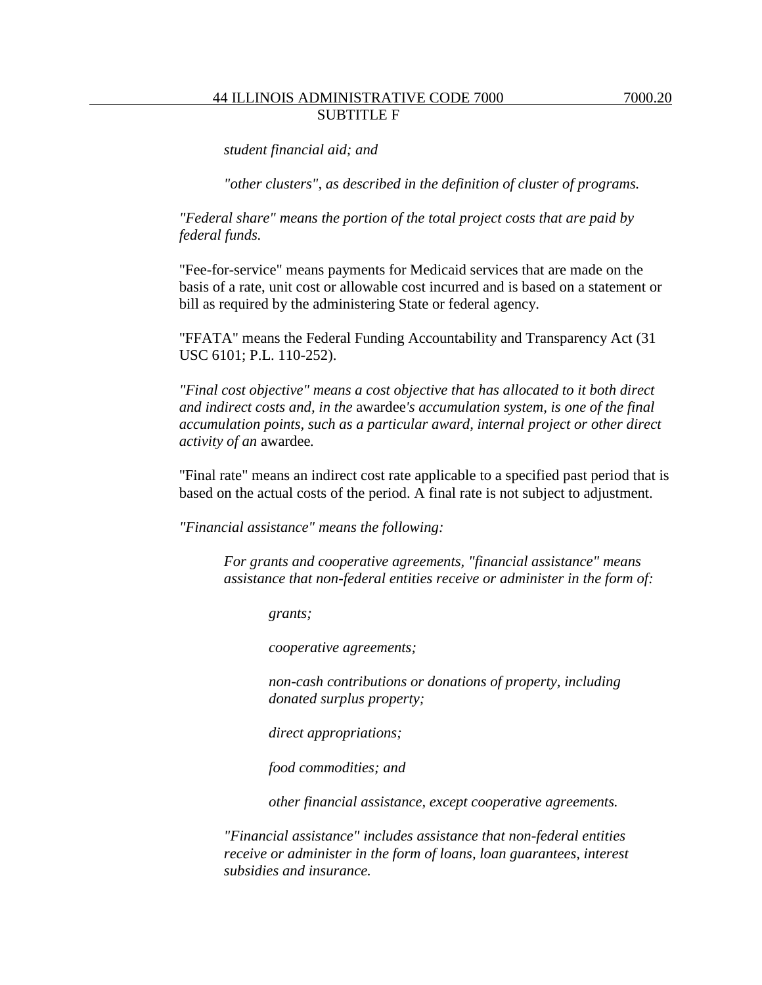*"other clusters", as described in the definition of cluster of programs.*

*"Federal share" means the portion of the total project costs that are paid by federal funds.* 

"Fee-for-service" means payments for Medicaid services that are made on the basis of a rate, unit cost or allowable cost incurred and is based on a statement or bill as required by the administering State or federal agency.

"FFATA" means the Federal Funding Accountability and Transparency Act (31 USC 6101; P.L. 110-252).

*"Final cost objective" means a cost objective that has allocated to it both direct and indirect costs and, in the* awardee*'s accumulation system, is one of the final accumulation points, such as a particular award, internal project or other direct activity of an* awardee*.*

"Final rate" means an indirect cost rate applicable to a specified past period that is based on the actual costs of the period. A final rate is not subject to adjustment.

*"Financial assistance" means the following:*

*For grants and cooperative agreements, "financial assistance" means assistance that non-federal entities receive or administer in the form of:*

*grants;*

*cooperative agreements;*

*non-cash contributions or donations of property, including donated surplus property;*

*direct appropriations;*

*food commodities; and*

*other financial assistance, except cooperative agreements.*

*"Financial assistance" includes assistance that non-federal entities receive or administer in the form of loans, loan guarantees, interest subsidies and insurance.*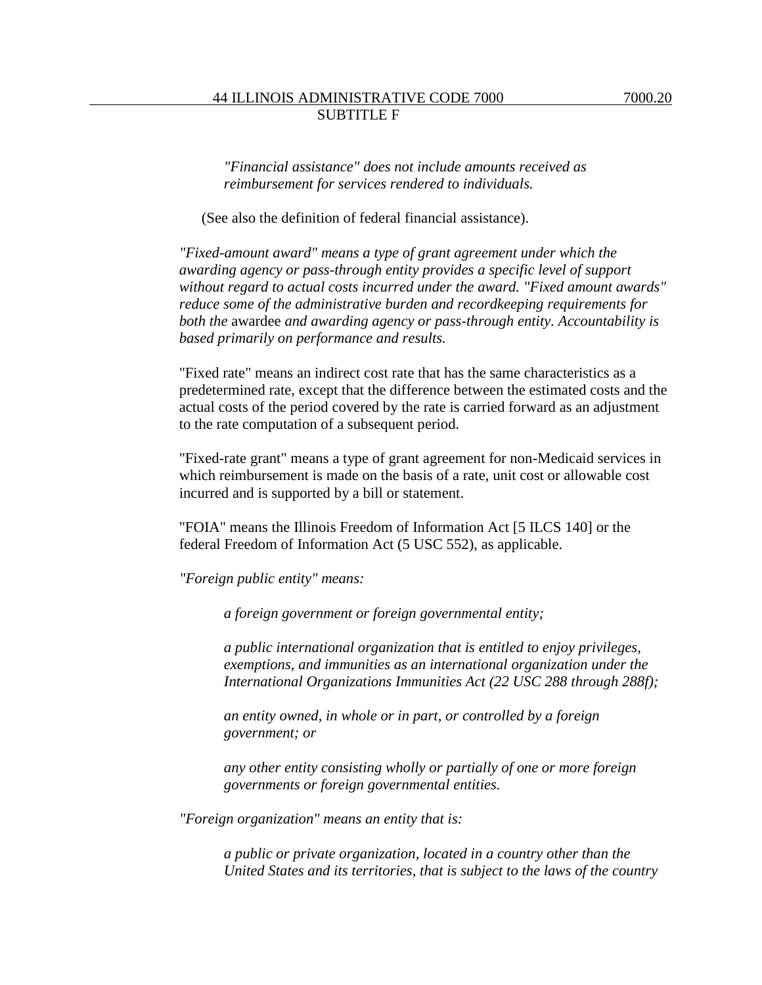*"Financial assistance" does not include amounts received as reimbursement for services rendered to individuals.*

(See also the definition of federal financial assistance).

*"Fixed-amount award" means a type of grant agreement under which the awarding agency or pass-through entity provides a specific level of support without regard to actual costs incurred under the award. "Fixed amount awards" reduce some of the administrative burden and recordkeeping requirements for both the* awardee *and awarding agency or pass-through entity. Accountability is based primarily on performance and results.*

"Fixed rate" means an indirect cost rate that has the same characteristics as a predetermined rate, except that the difference between the estimated costs and the actual costs of the period covered by the rate is carried forward as an adjustment to the rate computation of a subsequent period.

"Fixed-rate grant" means a type of grant agreement for non-Medicaid services in which reimbursement is made on the basis of a rate, unit cost or allowable cost incurred and is supported by a bill or statement.

"FOIA" means the Illinois Freedom of Information Act [5 ILCS 140] or the federal Freedom of Information Act (5 USC 552), as applicable.

*"Foreign public entity" means:*

*a foreign government or foreign governmental entity;* 

*a public international organization that is entitled to enjoy privileges, exemptions, and immunities as an international organization under the International Organizations Immunities Act (22 USC 288 through 288f);*

*an entity owned, in whole or in part, or controlled by a foreign government; or*

*any other entity consisting wholly or partially of one or more foreign governments or foreign governmental entities.*

*"Foreign organization" means an entity that is:*

*a public or private organization, located in a country other than the United States and its territories, that is subject to the laws of the country*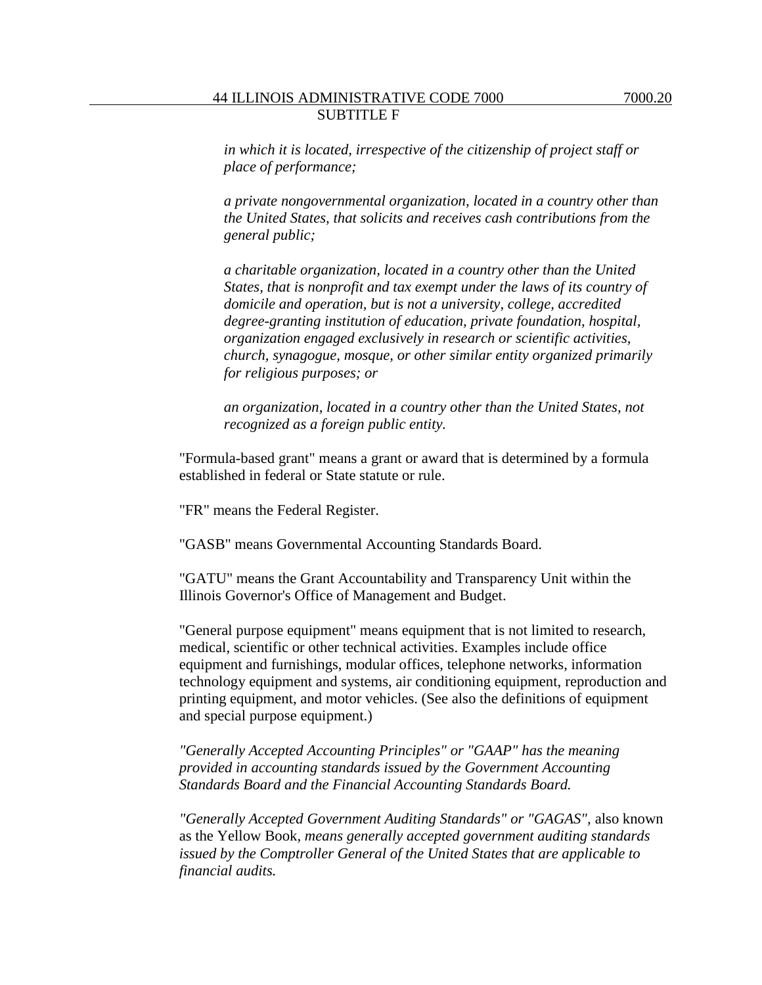*a private nongovernmental organization, located in a country other than the United States, that solicits and receives cash contributions from the general public;*

*a charitable organization, located in a country other than the United States, that is nonprofit and tax exempt under the laws of its country of domicile and operation, but is not a university, college, accredited degree-granting institution of education, private foundation, hospital, organization engaged exclusively in research or scientific activities, church, synagogue, mosque, or other similar entity organized primarily for religious purposes; or* 

*an organization, located in a country other than the United States, not recognized as a foreign public entity.*

"Formula-based grant" means a grant or award that is determined by a formula established in federal or State statute or rule.

"FR" means the Federal Register.

"GASB" means Governmental Accounting Standards Board.

"GATU" means the Grant Accountability and Transparency Unit within the Illinois Governor's Office of Management and Budget.

"General purpose equipment" means equipment that is not limited to research, medical, scientific or other technical activities. Examples include office equipment and furnishings, modular offices, telephone networks, information technology equipment and systems, air conditioning equipment, reproduction and printing equipment, and motor vehicles. (See also the definitions of equipment and special purpose equipment.)

*"Generally Accepted Accounting Principles" or "GAAP" has the meaning provided in accounting standards issued by the Government Accounting Standards Board and the Financial Accounting Standards Board.*

*"Generally Accepted Government Auditing Standards" or "GAGAS",* also known as the Yellow Book*, means generally accepted government auditing standards issued by the Comptroller General of the United States that are applicable to financial audits.*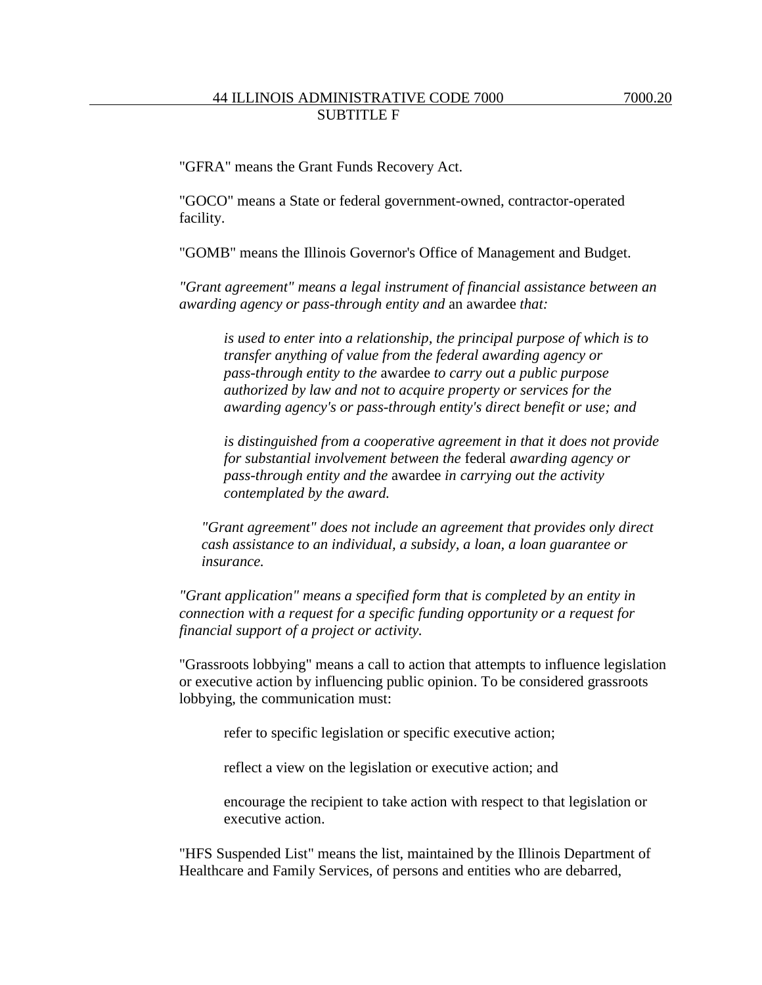"GFRA" means the Grant Funds Recovery Act.

"GOCO" means a State or federal government-owned, contractor-operated facility.

"GOMB" means the Illinois Governor's Office of Management and Budget.

*"Grant agreement" means a legal instrument of financial assistance between an awarding agency or pass-through entity and* an awardee *that:*

*is used to enter into a relationship, the principal purpose of which is to transfer anything of value from the federal awarding agency or pass-through entity to the* awardee *to carry out a public purpose authorized by law and not to acquire property or services for the awarding agency's or pass-through entity's direct benefit or use; and*

*is distinguished from a cooperative agreement in that it does not provide for substantial involvement between the* federal *awarding agency or pass-through entity and the* awardee *in carrying out the activity contemplated by the award.*

*"Grant agreement" does not include an agreement that provides only direct cash assistance to an individual, a subsidy, a loan, a loan guarantee or insurance.*

*"Grant application" means a specified form that is completed by an entity in connection with a request for a specific funding opportunity or a request for financial support of a project or activity.*

"Grassroots lobbying" means a call to action that attempts to influence legislation or executive action by influencing public opinion. To be considered grassroots lobbying, the communication must:

refer to specific legislation or specific executive action;

reflect a view on the legislation or executive action; and

encourage the recipient to take action with respect to that legislation or executive action.

"HFS Suspended List" means the list, maintained by the Illinois Department of Healthcare and Family Services, of persons and entities who are debarred,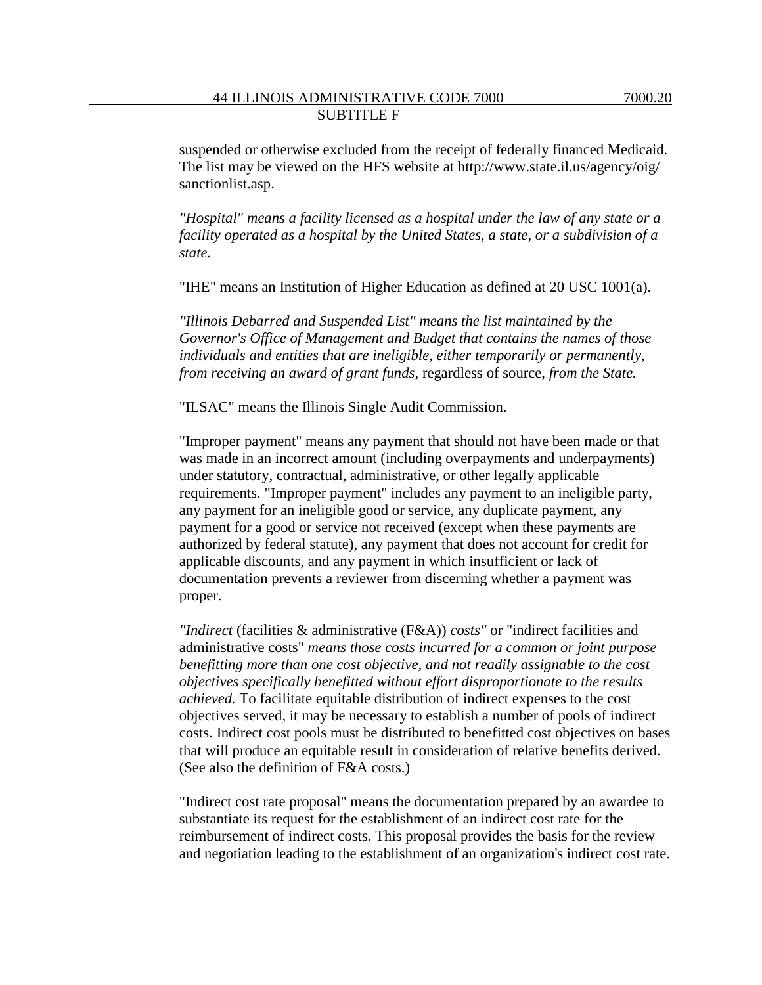suspended or otherwise excluded from the receipt of federally financed Medicaid. The list may be viewed on the HFS website at http://www.state.il.us/agency/oig/ sanctionlist.asp.

*"Hospital" means a facility licensed as a hospital under the law of any state or a facility operated as a hospital by the United States, a state, or a subdivision of a state.*

"IHE" means an Institution of Higher Education as defined at 20 USC 1001(a).

*"Illinois Debarred and Suspended List" means the list maintained by the Governor's Office of Management and Budget that contains the names of those individuals and entities that are ineligible, either temporarily or permanently, from receiving an award of grant funds*, regardless of source, *from the State.*

"ILSAC" means the Illinois Single Audit Commission.

"Improper payment" means any payment that should not have been made or that was made in an incorrect amount (including overpayments and underpayments) under statutory, contractual, administrative, or other legally applicable requirements. "Improper payment" includes any payment to an ineligible party, any payment for an ineligible good or service, any duplicate payment, any payment for a good or service not received (except when these payments are authorized by federal statute), any payment that does not account for credit for applicable discounts, and any payment in which insufficient or lack of documentation prevents a reviewer from discerning whether a payment was proper.

*"Indirect* (facilities & administrative (F&A)) *costs"* or "indirect facilities and administrative costs" *means those costs incurred for a common or joint purpose benefitting more than one cost objective, and not readily assignable to the cost objectives specifically benefitted without effort disproportionate to the results achieved.* To facilitate equitable distribution of indirect expenses to the cost objectives served, it may be necessary to establish a number of pools of indirect costs. Indirect cost pools must be distributed to benefitted cost objectives on bases that will produce an equitable result in consideration of relative benefits derived. (See also the definition of F&A costs.)

"Indirect cost rate proposal" means the documentation prepared by an awardee to substantiate its request for the establishment of an indirect cost rate for the reimbursement of indirect costs. This proposal provides the basis for the review and negotiation leading to the establishment of an organization's indirect cost rate.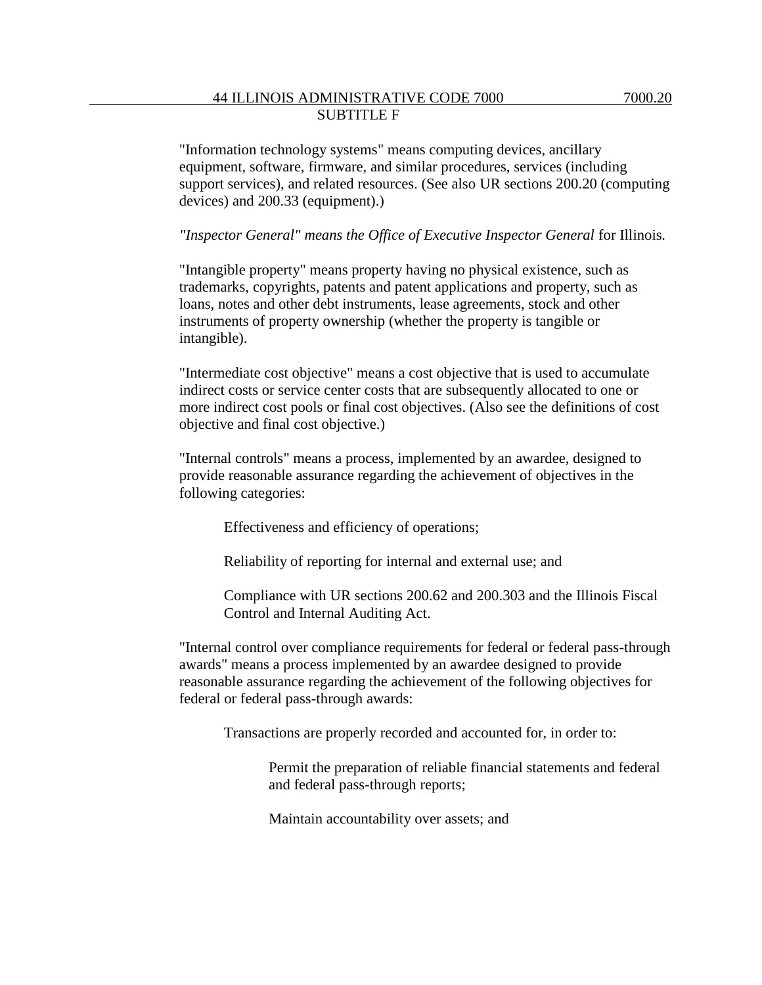"Information technology systems" means computing devices, ancillary equipment, software, firmware, and similar procedures, services (including support services), and related resources. (See also UR sections 200.20 (computing devices) and 200.33 (equipment).)

*"Inspector General" means the Office of Executive Inspector General* for Illinois*.*

"Intangible property" means property having no physical existence, such as trademarks, copyrights, patents and patent applications and property, such as loans, notes and other debt instruments, lease agreements, stock and other instruments of property ownership (whether the property is tangible or intangible).

"Intermediate cost objective" means a cost objective that is used to accumulate indirect costs or service center costs that are subsequently allocated to one or more indirect cost pools or final cost objectives. (Also see the definitions of cost objective and final cost objective.)

"Internal controls" means a process, implemented by an awardee, designed to provide reasonable assurance regarding the achievement of objectives in the following categories:

Effectiveness and efficiency of operations;

Reliability of reporting for internal and external use; and

Compliance with UR sections 200.62 and 200.303 and the Illinois Fiscal Control and Internal Auditing Act.

"Internal control over compliance requirements for federal or federal pass-through awards" means a process implemented by an awardee designed to provide reasonable assurance regarding the achievement of the following objectives for federal or federal pass-through awards:

Transactions are properly recorded and accounted for, in order to:

Permit the preparation of reliable financial statements and federal and federal pass-through reports;

Maintain accountability over assets; and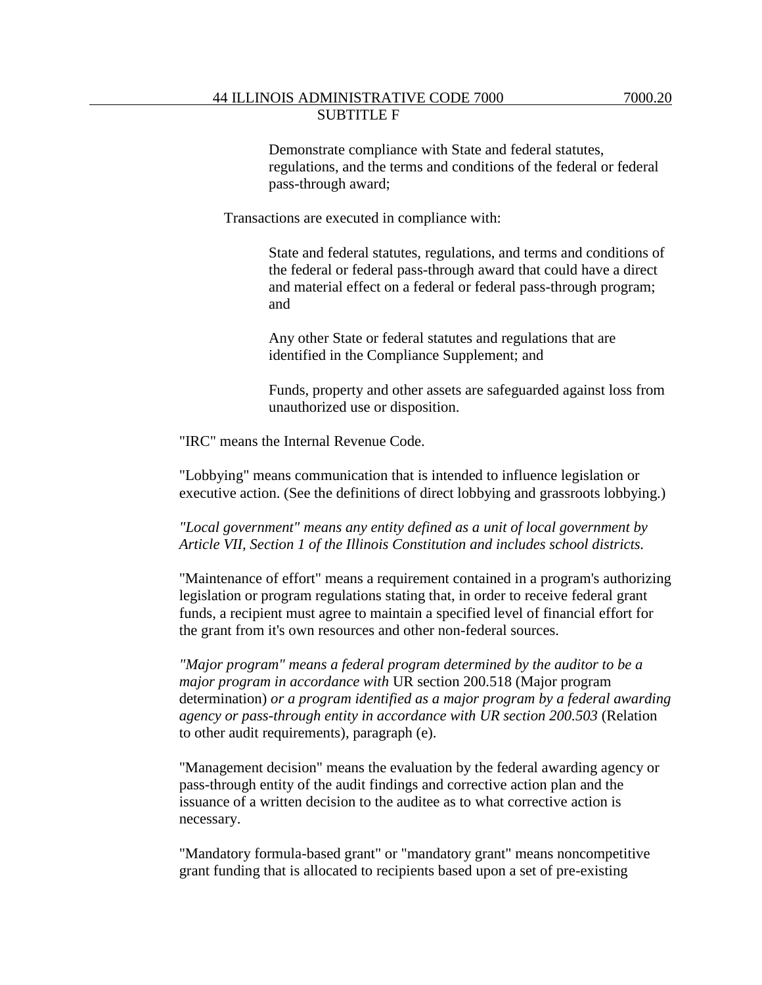Transactions are executed in compliance with:

State and federal statutes, regulations, and terms and conditions of the federal or federal pass-through award that could have a direct and material effect on a federal or federal pass-through program; and

Any other State or federal statutes and regulations that are identified in the Compliance Supplement; and

Funds, property and other assets are safeguarded against loss from unauthorized use or disposition.

"IRC" means the Internal Revenue Code.

"Lobbying" means communication that is intended to influence legislation or executive action. (See the definitions of direct lobbying and grassroots lobbying.)

*"Local government" means any entity defined as a unit of local government by Article VII, Section 1 of the Illinois Constitution and includes school districts.*

"Maintenance of effort" means a requirement contained in a program's authorizing legislation or program regulations stating that, in order to receive federal grant funds, a recipient must agree to maintain a specified level of financial effort for the grant from it's own resources and other non-federal sources.

*"Major program" means a federal program determined by the auditor to be a major program in accordance with* UR section 200.518 (Major program determination) *or a program identified as a major program by a federal awarding agency or pass-through entity in accordance with UR section 200.503* (Relation to other audit requirements), paragraph (e).

"Management decision" means the evaluation by the federal awarding agency or pass-through entity of the audit findings and corrective action plan and the issuance of a written decision to the auditee as to what corrective action is necessary.

"Mandatory formula-based grant" or "mandatory grant" means noncompetitive grant funding that is allocated to recipients based upon a set of pre-existing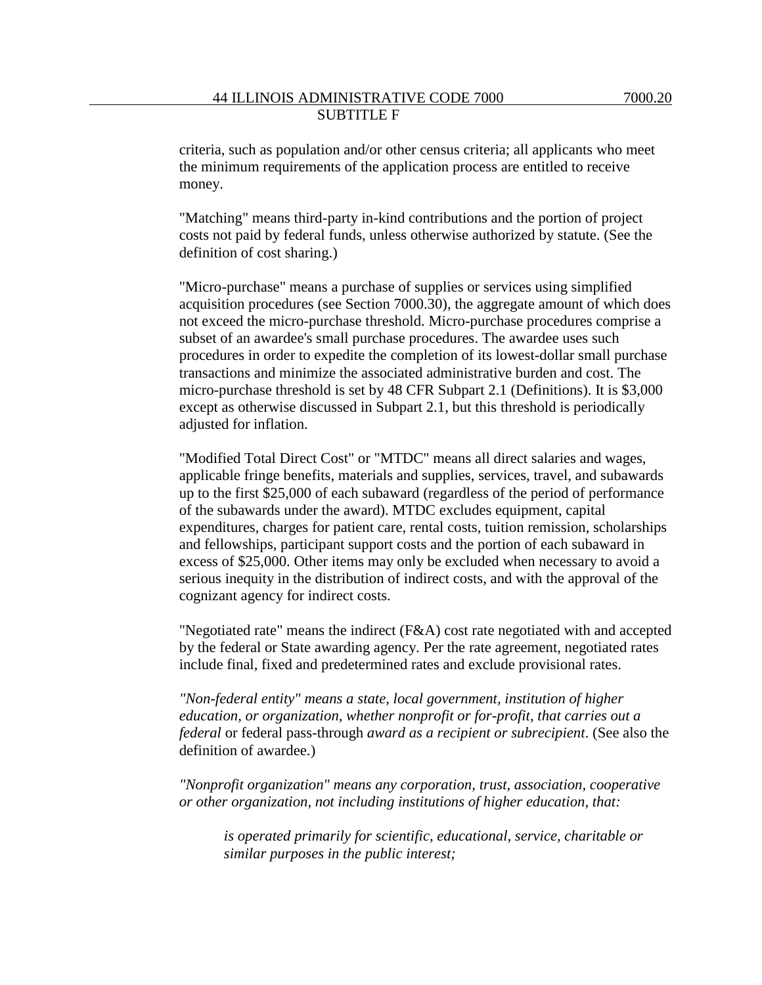criteria, such as population and/or other census criteria; all applicants who meet the minimum requirements of the application process are entitled to receive money.

"Matching" means third-party in-kind contributions and the portion of project costs not paid by federal funds, unless otherwise authorized by statute. (See the definition of cost sharing.)

"Micro-purchase" means a purchase of supplies or services using simplified acquisition procedures (see Section 7000.30), the aggregate amount of which does not exceed the micro-purchase threshold. Micro-purchase procedures comprise a subset of an awardee's small purchase procedures. The awardee uses such procedures in order to expedite the completion of its lowest-dollar small purchase transactions and minimize the associated administrative burden and cost. The micro-purchase threshold is set by 48 CFR Subpart 2.1 (Definitions). It is \$3,000 except as otherwise discussed in Subpart 2.1, but this threshold is periodically adjusted for inflation.

"Modified Total Direct Cost" or "MTDC" means all direct salaries and wages, applicable fringe benefits, materials and supplies, services, travel, and subawards up to the first \$25,000 of each subaward (regardless of the period of performance of the subawards under the award). MTDC excludes equipment, capital expenditures, charges for patient care, rental costs, tuition remission, scholarships and fellowships, participant support costs and the portion of each subaward in excess of \$25,000. Other items may only be excluded when necessary to avoid a serious inequity in the distribution of indirect costs, and with the approval of the cognizant agency for indirect costs.

"Negotiated rate" means the indirect (F&A) cost rate negotiated with and accepted by the federal or State awarding agency. Per the rate agreement, negotiated rates include final, fixed and predetermined rates and exclude provisional rates.

*"Non-federal entity" means a state, local government, institution of higher education, or organization, whether nonprofit or for-profit, that carries out a federal* or federal pass-through *award as a recipient or subrecipient*. (See also the definition of awardee.)

*"Nonprofit organization" means any corporation, trust, association, cooperative or other organization, not including institutions of higher education, that:* 

*is operated primarily for scientific, educational, service, charitable or similar purposes in the public interest;*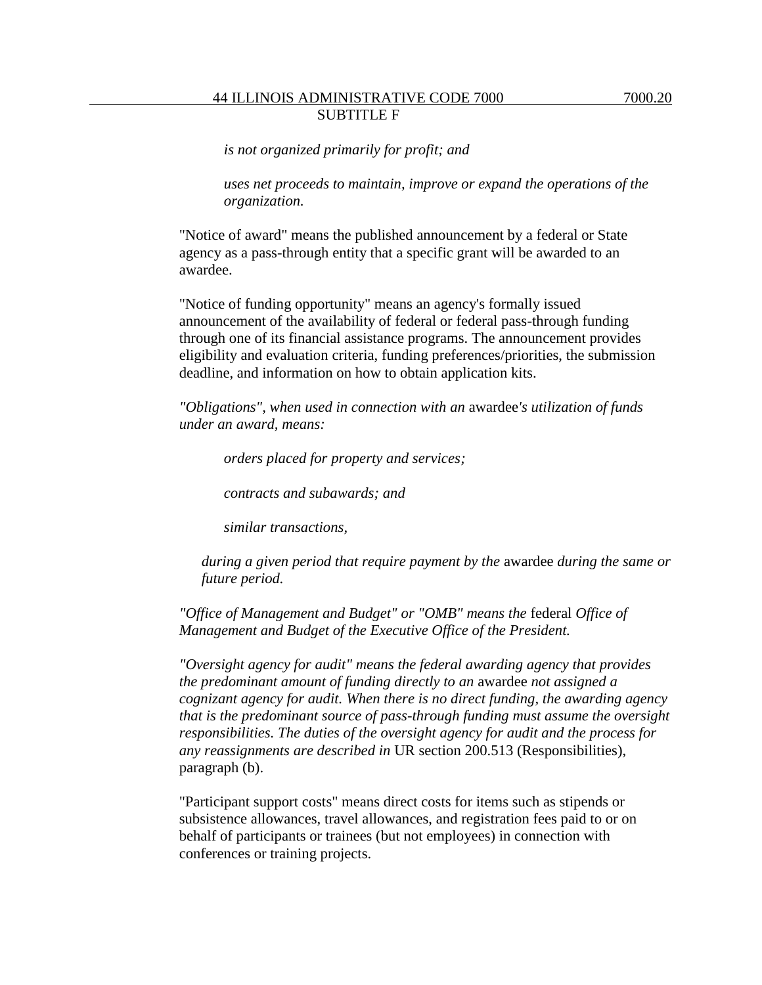*is not organized primarily for profit; and* 

*uses net proceeds to maintain, improve or expand the operations of the organization.*

"Notice of award" means the published announcement by a federal or State agency as a pass-through entity that a specific grant will be awarded to an awardee.

"Notice of funding opportunity" means an agency's formally issued announcement of the availability of federal or federal pass-through funding through one of its financial assistance programs. The announcement provides eligibility and evaluation criteria, funding preferences/priorities, the submission deadline, and information on how to obtain application kits.

*"Obligations", when used in connection with an* awardee*'s utilization of funds under an award, means:*

*orders placed for property and services;*

*contracts and subawards; and*

*similar transactions,*

*during a given period that require payment by the* awardee *during the same or future period.*

*"Office of Management and Budget" or "OMB" means the* federal *Office of Management and Budget of the Executive Office of the President.*

*"Oversight agency for audit" means the federal awarding agency that provides the predominant amount of funding directly to an* awardee *not assigned a cognizant agency for audit. When there is no direct funding, the awarding agency that is the predominant source of pass-through funding must assume the oversight responsibilities. The duties of the oversight agency for audit and the process for any reassignments are described in* UR section 200.513 (Responsibilities), paragraph (b).

"Participant support costs" means direct costs for items such as stipends or subsistence allowances, travel allowances, and registration fees paid to or on behalf of participants or trainees (but not employees) in connection with conferences or training projects.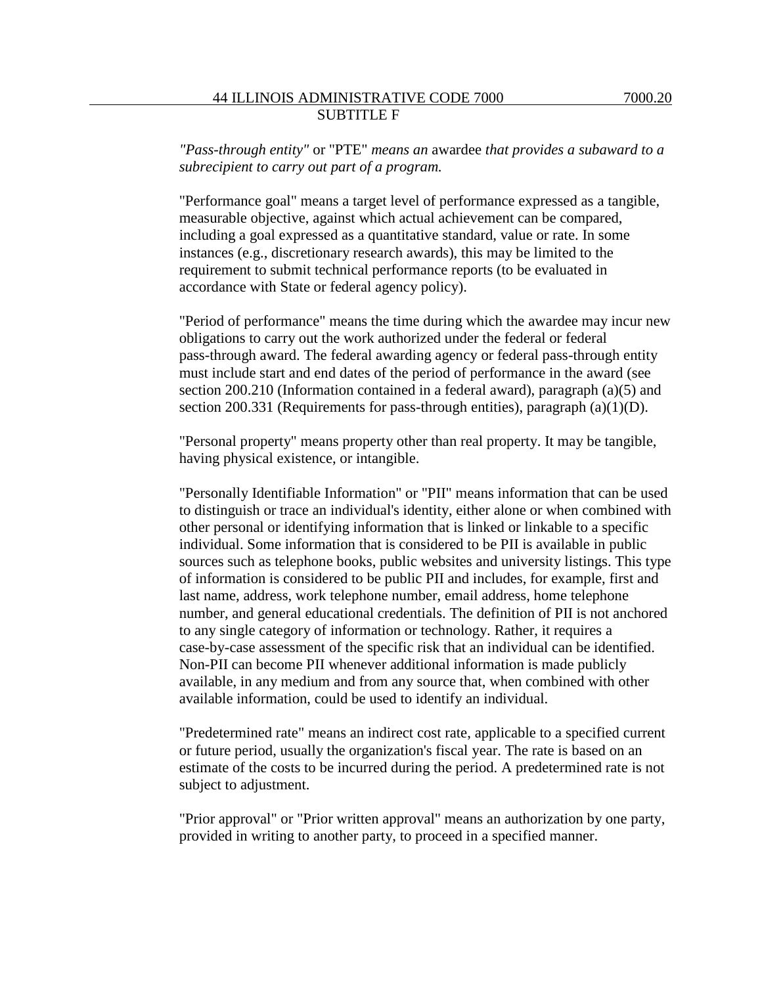"Performance goal" means a target level of performance expressed as a tangible, measurable objective, against which actual achievement can be compared, including a goal expressed as a quantitative standard, value or rate. In some instances (e.g., discretionary research awards), this may be limited to the requirement to submit technical performance reports (to be evaluated in accordance with State or federal agency policy).

"Period of performance" means the time during which the awardee may incur new obligations to carry out the work authorized under the federal or federal pass-through award. The federal awarding agency or federal pass-through entity must include start and end dates of the period of performance in the award (see section 200.210 (Information contained in a federal award), paragraph (a)(5) and section 200.331 (Requirements for pass-through entities), paragraph (a)(1)(D).

"Personal property" means property other than real property. It may be tangible, having physical existence, or intangible.

"Personally Identifiable Information" or "PII" means information that can be used to distinguish or trace an individual's identity, either alone or when combined with other personal or identifying information that is linked or linkable to a specific individual. Some information that is considered to be PII is available in public sources such as telephone books, public websites and university listings. This type of information is considered to be public PII and includes, for example, first and last name, address, work telephone number, email address, home telephone number, and general educational credentials. The definition of PII is not anchored to any single category of information or technology. Rather, it requires a case-by-case assessment of the specific risk that an individual can be identified. Non-PII can become PII whenever additional information is made publicly available, in any medium and from any source that, when combined with other available information, could be used to identify an individual.

"Predetermined rate" means an indirect cost rate, applicable to a specified current or future period, usually the organization's fiscal year. The rate is based on an estimate of the costs to be incurred during the period. A predetermined rate is not subject to adjustment.

"Prior approval" or "Prior written approval" means an authorization by one party, provided in writing to another party, to proceed in a specified manner.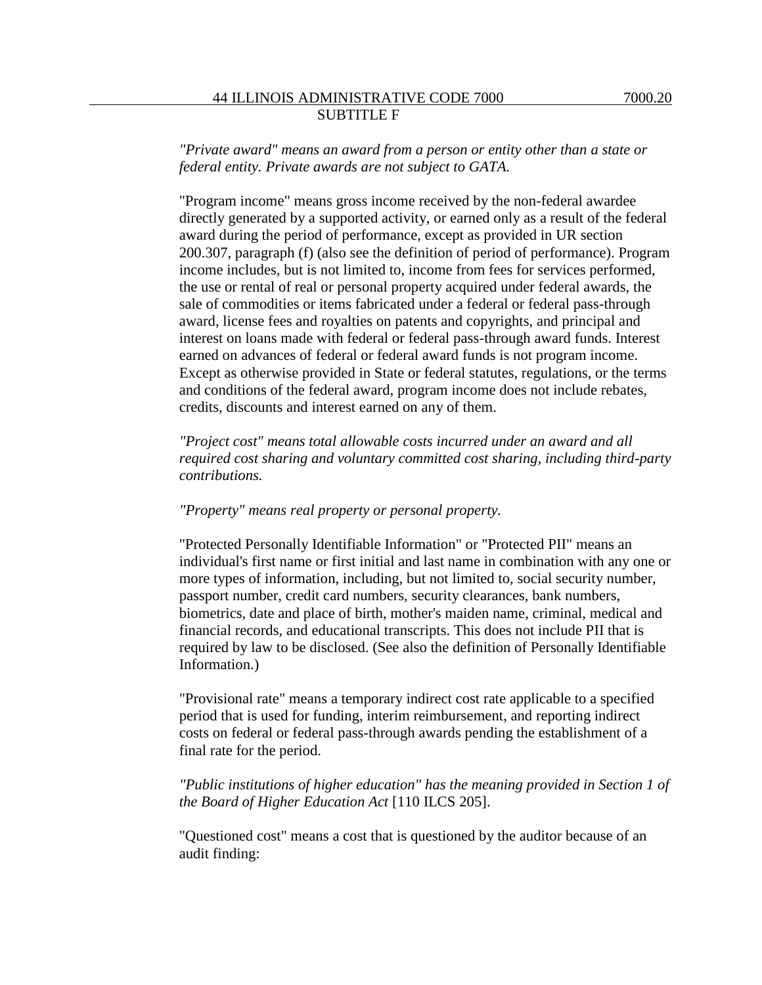"Program income" means gross income received by the non-federal awardee directly generated by a supported activity, or earned only as a result of the federal award during the period of performance, except as provided in UR section 200.307, paragraph (f) (also see the definition of period of performance). Program income includes, but is not limited to, income from fees for services performed, the use or rental of real or personal property acquired under federal awards, the sale of commodities or items fabricated under a federal or federal pass-through award, license fees and royalties on patents and copyrights, and principal and interest on loans made with federal or federal pass-through award funds. Interest earned on advances of federal or federal award funds is not program income. Except as otherwise provided in State or federal statutes, regulations, or the terms and conditions of the federal award, program income does not include rebates, credits, discounts and interest earned on any of them.

*"Project cost" means total allowable costs incurred under an award and all required cost sharing and voluntary committed cost sharing, including third-party contributions.*

### *"Property" means real property or personal property.*

"Protected Personally Identifiable Information" or "Protected PII" means an individual's first name or first initial and last name in combination with any one or more types of information, including, but not limited to, social security number, passport number, credit card numbers, security clearances, bank numbers, biometrics, date and place of birth, mother's maiden name, criminal, medical and financial records, and educational transcripts. This does not include PII that is required by law to be disclosed. (See also the definition of Personally Identifiable Information.)

"Provisional rate" means a temporary indirect cost rate applicable to a specified period that is used for funding, interim reimbursement, and reporting indirect costs on federal or federal pass-through awards pending the establishment of a final rate for the period.

# *"Public institutions of higher education" has the meaning provided in Section 1 of the Board of Higher Education Act* [110 ILCS 205].

"Questioned cost" means a cost that is questioned by the auditor because of an audit finding: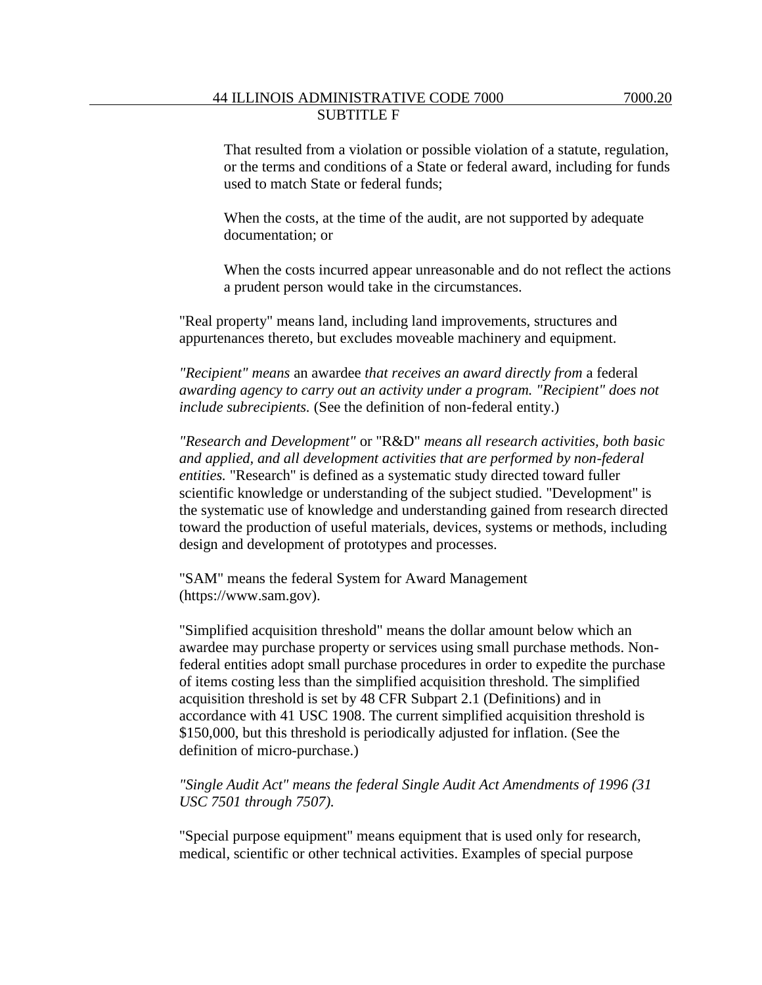When the costs, at the time of the audit, are not supported by adequate documentation; or

When the costs incurred appear unreasonable and do not reflect the actions a prudent person would take in the circumstances.

"Real property" means land, including land improvements, structures and appurtenances thereto, but excludes moveable machinery and equipment.

*"Recipient" means* an awardee *that receives an award directly from* a federal *awarding agency to carry out an activity under a program. "Recipient" does not include subrecipients.* (See the definition of non-federal entity.)

*"Research and Development"* or "R&D" *means all research activities, both basic and applied, and all development activities that are performed by non-federal entities.* "Research'' is defined as a systematic study directed toward fuller scientific knowledge or understanding of the subject studied. "Development'' is the systematic use of knowledge and understanding gained from research directed toward the production of useful materials, devices, systems or methods, including design and development of prototypes and processes.

"SAM" means the federal System for Award Management (https://www.sam.gov).

"Simplified acquisition threshold" means the dollar amount below which an awardee may purchase property or services using small purchase methods. Nonfederal entities adopt small purchase procedures in order to expedite the purchase of items costing less than the simplified acquisition threshold. The simplified acquisition threshold is set by 48 CFR Subpart 2.1 (Definitions) and in accordance with 41 USC 1908. The current simplified acquisition threshold is \$150,000, but this threshold is periodically adjusted for inflation. (See the definition of micro-purchase.)

### *"Single Audit Act" means the federal Single Audit Act Amendments of 1996 (31 USC 7501 through 7507).*

"Special purpose equipment" means equipment that is used only for research, medical, scientific or other technical activities. Examples of special purpose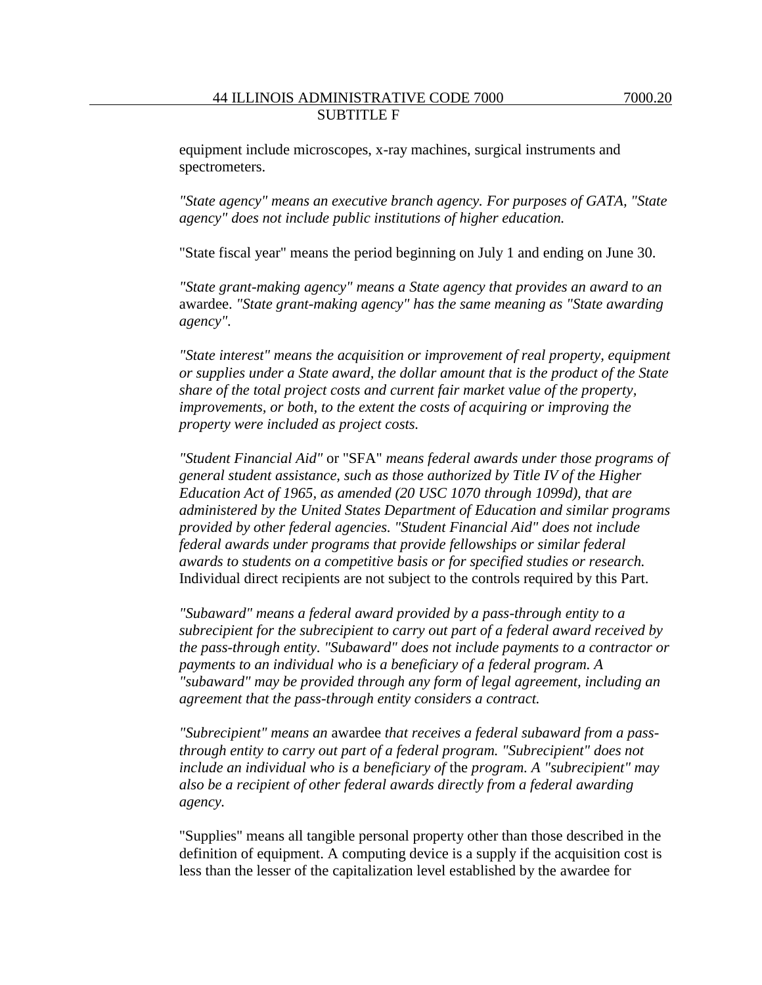equipment include microscopes, x-ray machines, surgical instruments and spectrometers.

*"State agency" means an executive branch agency. For purposes of GATA, "State agency" does not include public institutions of higher education.*

"State fiscal year" means the period beginning on July 1 and ending on June 30.

*"State grant-making agency" means a State agency that provides an award to an* awardee. *"State grant-making agency" has the same meaning as "State awarding agency".*

*"State interest" means the acquisition or improvement of real property, equipment or supplies under a State award, the dollar amount that is the product of the State share of the total project costs and current fair market value of the property, improvements, or both, to the extent the costs of acquiring or improving the property were included as project costs.*

*"Student Financial Aid"* or "SFA" *means federal awards under those programs of general student assistance, such as those authorized by Title IV of the Higher Education Act of 1965, as amended (20 USC 1070 through 1099d), that are administered by the United States Department of Education and similar programs provided by other federal agencies. "Student Financial Aid" does not include federal awards under programs that provide fellowships or similar federal awards to students on a competitive basis or for specified studies or research.* Individual direct recipients are not subject to the controls required by this Part.

*"Subaward" means a federal award provided by a pass-through entity to a subrecipient for the subrecipient to carry out part of a federal award received by the pass-through entity. "Subaward" does not include payments to a contractor or payments to an individual who is a beneficiary of a federal program. A "subaward" may be provided through any form of legal agreement, including an agreement that the pass-through entity considers a contract.*

*"Subrecipient" means an* awardee *that receives a federal subaward from a passthrough entity to carry out part of a federal program. "Subrecipient" does not include an individual who is a beneficiary of* the *program. A "subrecipient" may also be a recipient of other federal awards directly from a federal awarding agency.*

"Supplies" means all tangible personal property other than those described in the definition of equipment. A computing device is a supply if the acquisition cost is less than the lesser of the capitalization level established by the awardee for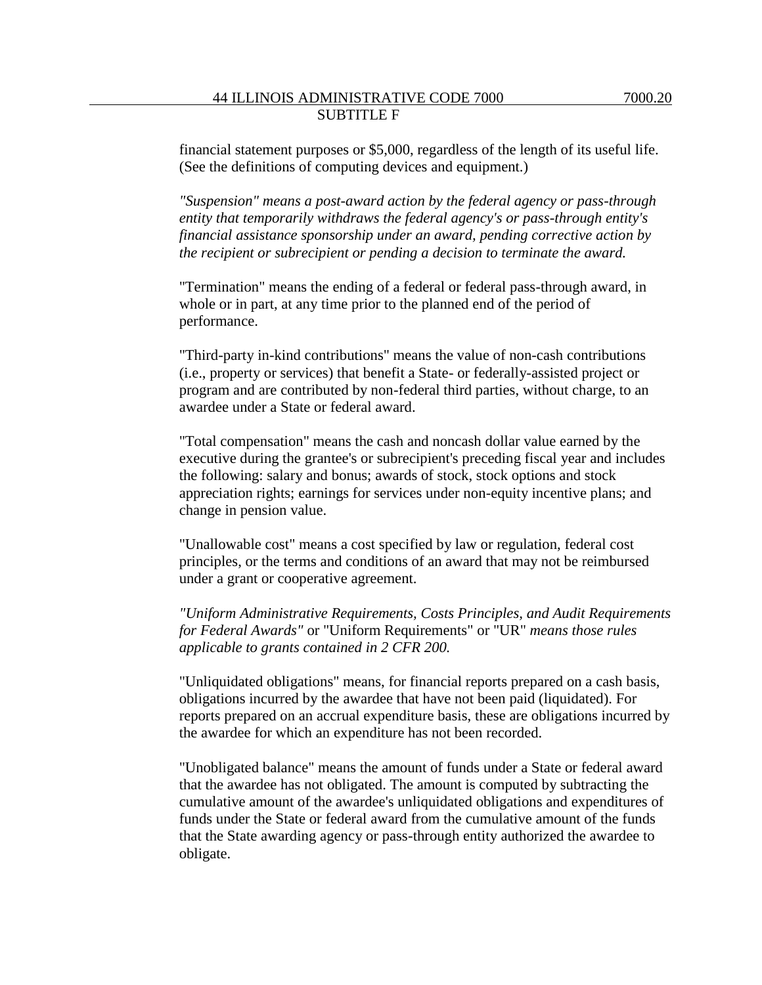*"Suspension" means a post-award action by the federal agency or pass-through entity that temporarily withdraws the federal agency's or pass-through entity's financial assistance sponsorship under an award, pending corrective action by the recipient or subrecipient or pending a decision to terminate the award.*

"Termination" means the ending of a federal or federal pass-through award, in whole or in part, at any time prior to the planned end of the period of performance.

"Third-party in-kind contributions" means the value of non-cash contributions (i.e., property or services) that benefit a State- or federally-assisted project or program and are contributed by non-federal third parties, without charge, to an awardee under a State or federal award.

"Total compensation" means the cash and noncash dollar value earned by the executive during the grantee's or subrecipient's preceding fiscal year and includes the following: salary and bonus; awards of stock, stock options and stock appreciation rights; earnings for services under non-equity incentive plans; and change in pension value.

"Unallowable cost" means a cost specified by law or regulation, federal cost principles, or the terms and conditions of an award that may not be reimbursed under a grant or cooperative agreement.

*"Uniform Administrative Requirements, Costs Principles, and Audit Requirements for Federal Awards"* or "Uniform Requirements" or "UR" *means those rules applicable to grants contained in 2 CFR 200.*

"Unliquidated obligations" means, for financial reports prepared on a cash basis, obligations incurred by the awardee that have not been paid (liquidated). For reports prepared on an accrual expenditure basis, these are obligations incurred by the awardee for which an expenditure has not been recorded.

"Unobligated balance" means the amount of funds under a State or federal award that the awardee has not obligated. The amount is computed by subtracting the cumulative amount of the awardee's unliquidated obligations and expenditures of funds under the State or federal award from the cumulative amount of the funds that the State awarding agency or pass-through entity authorized the awardee to obligate.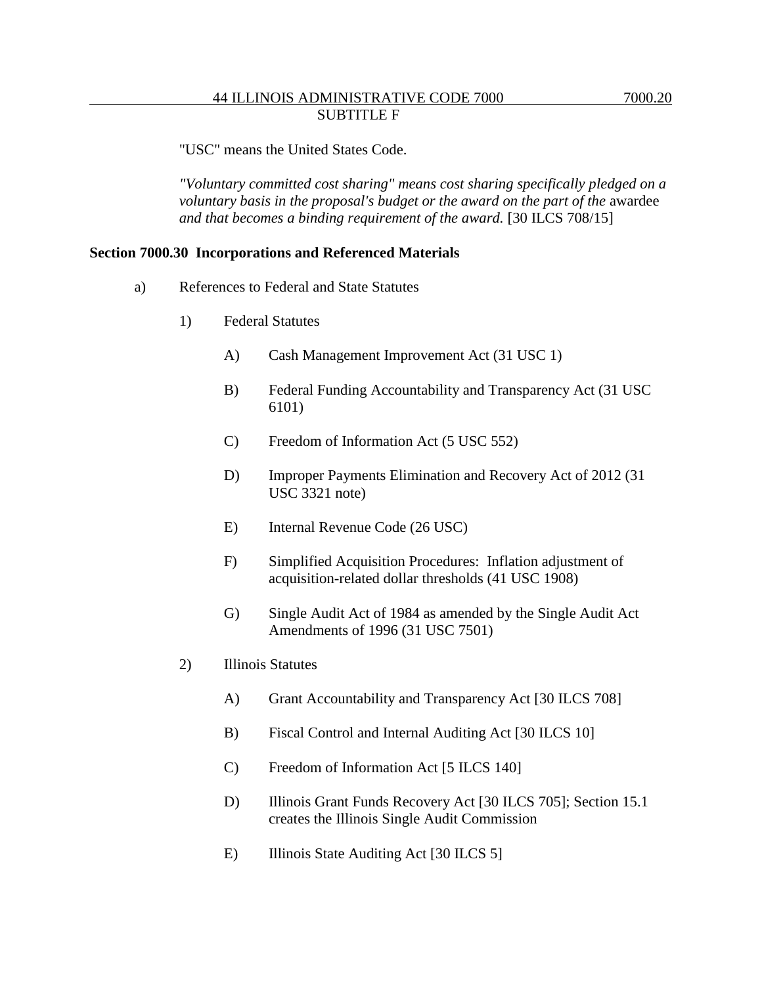"USC" means the United States Code.

*"Voluntary committed cost sharing" means cost sharing specifically pledged on a voluntary basis in the proposal's budget or the award on the part of the* awardee *and that becomes a binding requirement of the award.* [30 ILCS 708/15]

#### **Section 7000.30 Incorporations and Referenced Materials**

- a) References to Federal and State Statutes
	- 1) Federal Statutes
		- A) Cash Management Improvement Act (31 USC 1)
		- B) Federal Funding Accountability and Transparency Act (31 USC 6101)
		- C) Freedom of Information Act (5 USC 552)
		- D) Improper Payments Elimination and Recovery Act of 2012 (31 USC 3321 note)
		- E) Internal Revenue Code (26 USC)
		- F) Simplified Acquisition Procedures: Inflation adjustment of acquisition-related dollar thresholds (41 USC 1908)
		- G) Single Audit Act of 1984 as amended by the Single Audit Act Amendments of 1996 (31 USC 7501)
	- 2) Illinois Statutes
		- A) Grant Accountability and Transparency Act [30 ILCS 708]
		- B) Fiscal Control and Internal Auditing Act [30 ILCS 10]
		- C) Freedom of Information Act [5 ILCS 140]
		- D) Illinois Grant Funds Recovery Act [30 ILCS 705]; Section 15.1 creates the Illinois Single Audit Commission
		- E) Illinois State Auditing Act [30 ILCS 5]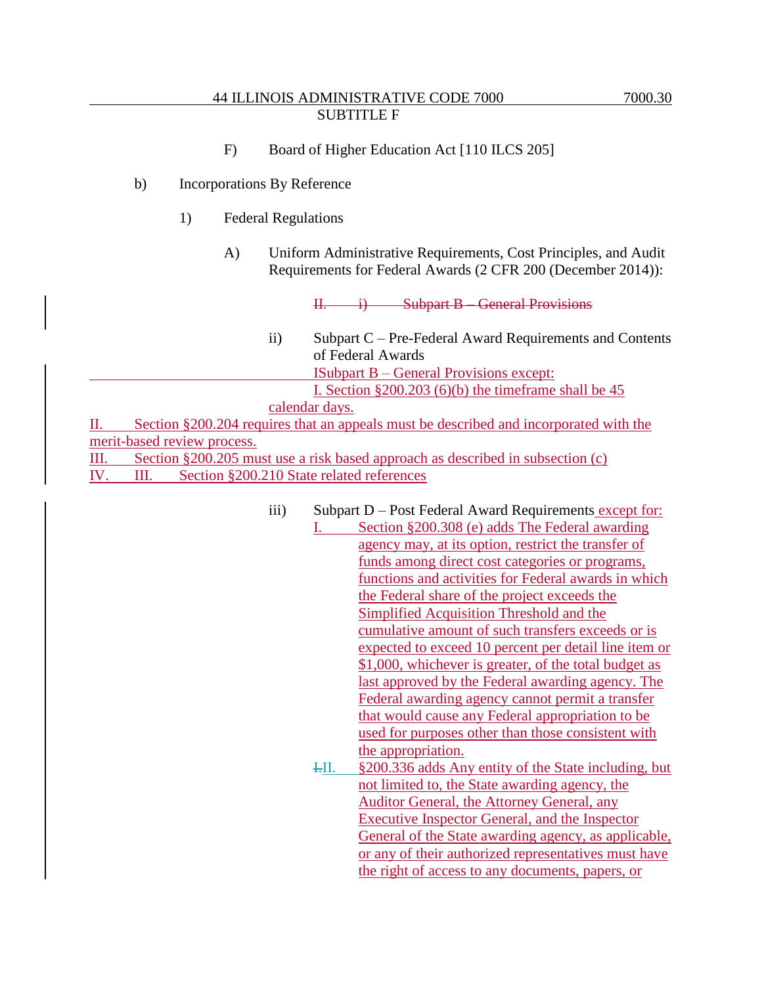- F) Board of Higher Education Act [110 ILCS 205]
- b) Incorporations By Reference
	- 1) Federal Regulations
		- A) Uniform Administrative Requirements, Cost Principles, and Audit Requirements for Federal Awards (2 CFR 200 (December 2014)):

II. i) Subpart B – General Provisions

ii) Subpart C – Pre-Federal Award Requirements and Contents of Federal Awards ISubpart B – General Provisions except: I. Section  $\S 200.203$  (6)(b) the timeframe shall be 45

calendar days.

II. Section §200.204 requires that an appeals must be described and incorporated with the merit-based review process.

III. Section §200.205 must use a risk based approach as described in subsection (c) IV. III. Section §200.210 State related references

- iii) Subpart D Post Federal Award Requirements except for:
	- I. Section §200.308 (e) adds The Federal awarding agency may, at its option, restrict the transfer of funds among direct cost categories or programs, functions and activities for Federal awards in which the Federal share of the project exceeds the Simplified Acquisition Threshold and the cumulative amount of such transfers exceeds or is expected to exceed 10 percent per detail line item or \$1,000, whichever is greater, of the total budget as last approved by the Federal awarding agency. The Federal awarding agency cannot permit a transfer that would cause any Federal appropriation to be used for purposes other than those consistent with the appropriation. I.II. §200.336 adds Any entity of the State including, but not limited to, the State awarding agency, the Auditor General, the Attorney General, any Executive Inspector General, and the Inspector General of the State awarding agency, as applicable, or any of their authorized representatives must have the right of access to any documents, papers, or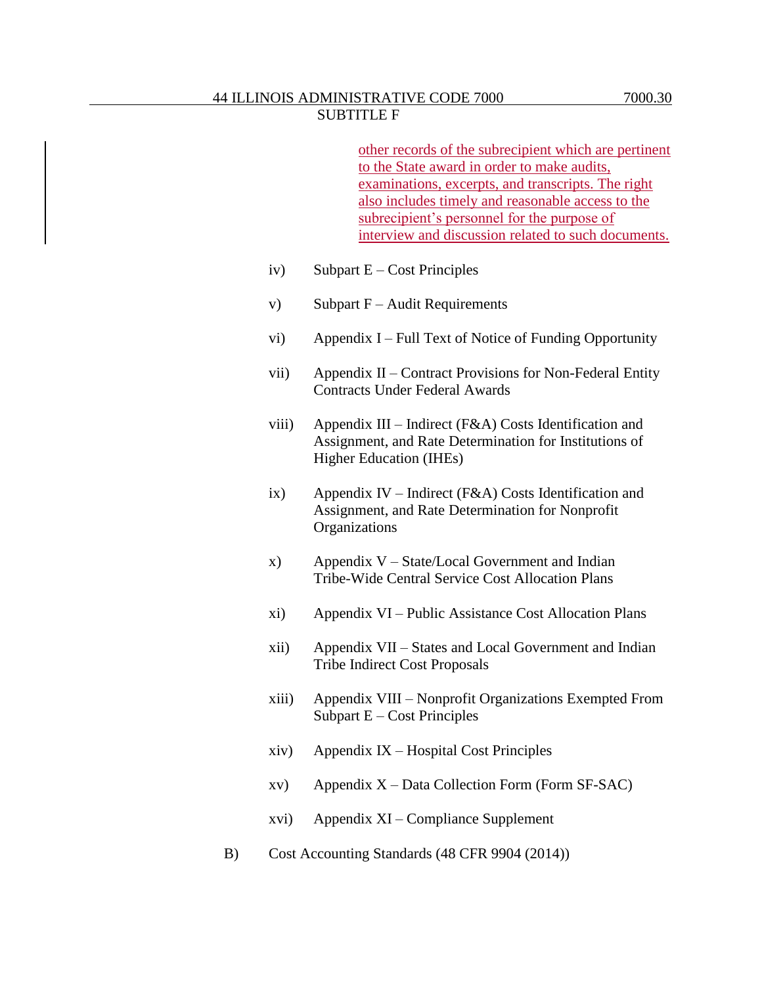other records of the subrecipient which are pertinent to the State award in order to make audits, examinations, excerpts, and transcripts. The right also includes timely and reasonable access to the subrecipient's personnel for the purpose of interview and discussion related to such documents.

- iv) Subpart  $E Cost$  Principles
- v) Subpart  $F -$ Audit Requirements
- vi) Appendix I Full Text of Notice of Funding Opportunity
- vii) Appendix II Contract Provisions for Non-Federal Entity Contracts Under Federal Awards
- viii) Appendix III Indirect (F&A) Costs Identification and Assignment, and Rate Determination for Institutions of Higher Education (IHEs)
- ix) Appendix IV Indirect (F&A) Costs Identification and Assignment, and Rate Determination for Nonprofit **Organizations**
- x) Appendix V State/Local Government and Indian Tribe-Wide Central Service Cost Allocation Plans
- xi) Appendix VI Public Assistance Cost Allocation Plans
- xii) Appendix VII States and Local Government and Indian Tribe Indirect Cost Proposals
- xiii) Appendix VIII Nonprofit Organizations Exempted From Subpart  $E - Cost$  Principles
- xiv) Appendix IX Hospital Cost Principles
- $xv$  Appendix  $X$  Data Collection Form (Form SF-SAC)
- xvi) Appendix XI Compliance Supplement
- B) Cost Accounting Standards (48 CFR 9904 (2014))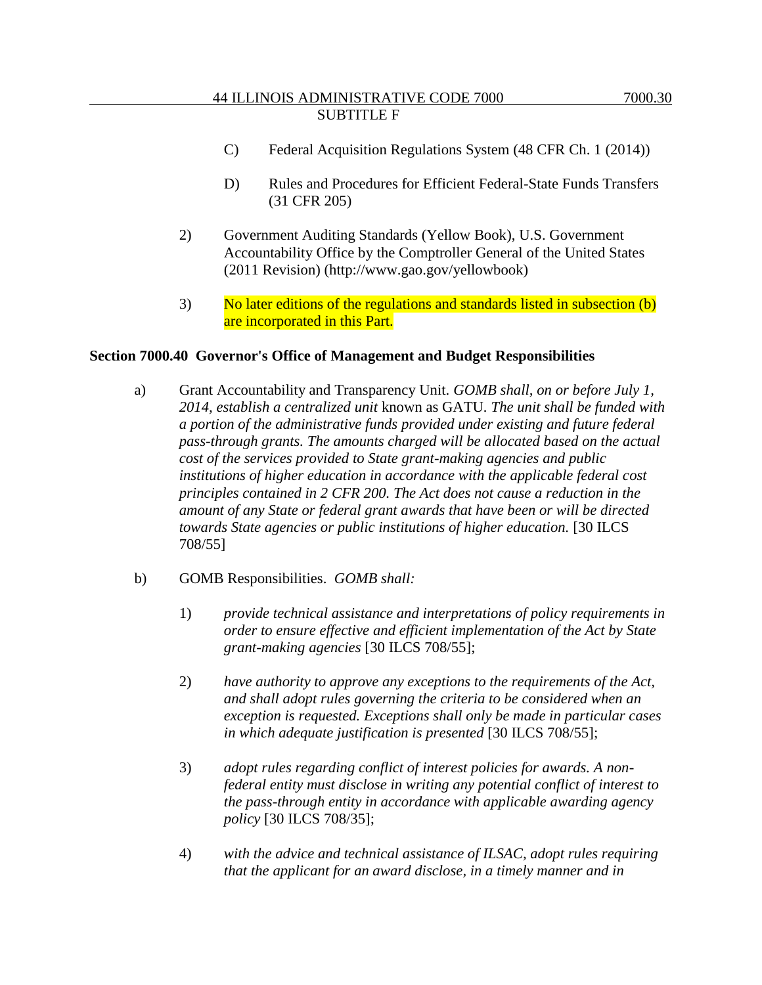- C) Federal Acquisition Regulations System (48 CFR Ch. 1 (2014))
- D) Rules and Procedures for Efficient Federal-State Funds Transfers (31 CFR 205)
- 2) Government Auditing Standards (Yellow Book), U.S. Government Accountability Office by the Comptroller General of the United States (2011 Revision) (http://www.gao.gov/yellowbook)
- 3) No later editions of the regulations and standards listed in subsection (b) are incorporated in this Part.

#### **Section 7000.40 Governor's Office of Management and Budget Responsibilities**

- a) Grant Accountability and Transparency Unit. *GOMB shall, on or before July 1, 2014, establish a centralized unit* known as GATU*. The unit shall be funded with a portion of the administrative funds provided under existing and future federal pass-through grants. The amounts charged will be allocated based on the actual cost of the services provided to State grant-making agencies and public institutions of higher education in accordance with the applicable federal cost principles contained in 2 CFR 200. The Act does not cause a reduction in the amount of any State or federal grant awards that have been or will be directed towards State agencies or public institutions of higher education.* [30 ILCS 708/55]
- b) GOMB Responsibilities. *GOMB shall:*
	- 1) *provide technical assistance and interpretations of policy requirements in order to ensure effective and efficient implementation of the Act by State grant-making agencies* [30 ILCS 708/55];
	- 2) *have authority to approve any exceptions to the requirements of the Act, and shall adopt rules governing the criteria to be considered when an exception is requested. Exceptions shall only be made in particular cases in which adequate justification is presented* [30 ILCS 708/55];
	- 3) *adopt rules regarding conflict of interest policies for awards. A nonfederal entity must disclose in writing any potential conflict of interest to the pass-through entity in accordance with applicable awarding agency policy* [30 ILCS 708/35];
	- 4) *with the advice and technical assistance of ILSAC, adopt rules requiring that the applicant for an award disclose, in a timely manner and in*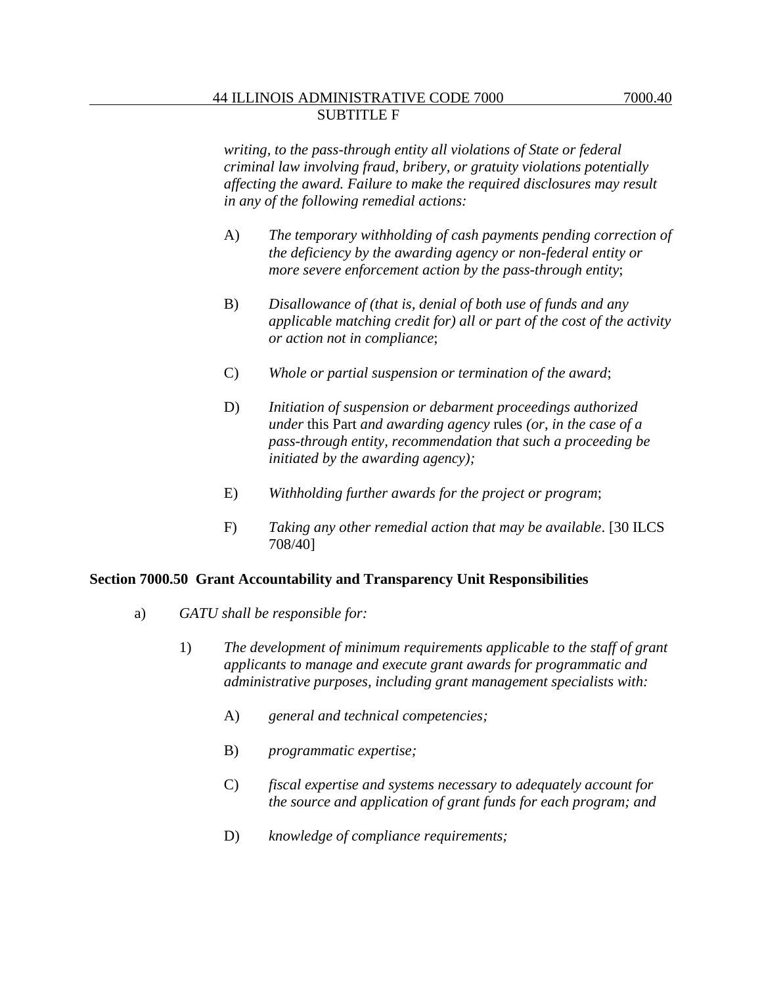*writing, to the pass-through entity all violations of State or federal criminal law involving fraud, bribery, or gratuity violations potentially affecting the award. Failure to make the required disclosures may result in any of the following remedial actions:*

- A) *The temporary withholding of cash payments pending correction of the deficiency by the awarding agency or non-federal entity or more severe enforcement action by the pass-through entity*;
- B) *Disallowance of (that is, denial of both use of funds and any applicable matching credit for) all or part of the cost of the activity or action not in compliance*;
- C) *Whole or partial suspension or termination of the award*;
- D) *Initiation of suspension or debarment proceedings authorized under* this Part *and awarding agency* rules *(or, in the case of a pass-through entity, recommendation that such a proceeding be initiated by the awarding agency);*
- E) *Withholding further awards for the project or program*;
- F) *Taking any other remedial action that may be available*. [30 ILCS 708/40]

### **Section 7000.50 Grant Accountability and Transparency Unit Responsibilities**

- a) *GATU shall be responsible for:*
	- 1) *The development of minimum requirements applicable to the staff of grant applicants to manage and execute grant awards for programmatic and administrative purposes, including grant management specialists with:*
		- A) *general and technical competencies;*
		- B) *programmatic expertise;*
		- C) *fiscal expertise and systems necessary to adequately account for the source and application of grant funds for each program; and*
		- D) *knowledge of compliance requirements;*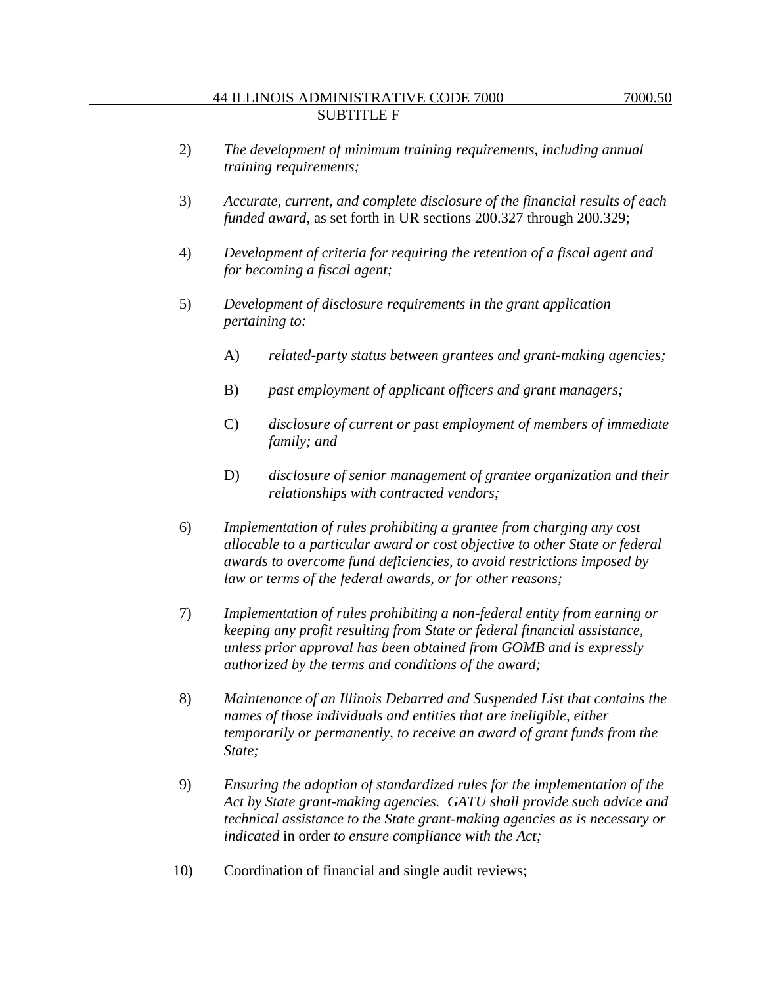- 3) *Accurate, current, and complete disclosure of the financial results of each funded award,* as set forth in UR sections 200.327 through 200.329;
- 4) *Development of criteria for requiring the retention of a fiscal agent and for becoming a fiscal agent;*
- 5) *Development of disclosure requirements in the grant application pertaining to:*
	- A) *related-party status between grantees and grant-making agencies;*
	- B) *past employment of applicant officers and grant managers;*
	- C) *disclosure of current or past employment of members of immediate family; and*
	- D) *disclosure of senior management of grantee organization and their relationships with contracted vendors;*
- 6) *Implementation of rules prohibiting a grantee from charging any cost allocable to a particular award or cost objective to other State or federal awards to overcome fund deficiencies, to avoid restrictions imposed by law or terms of the federal awards, or for other reasons;*
- 7) *Implementation of rules prohibiting a non-federal entity from earning or keeping any profit resulting from State or federal financial assistance, unless prior approval has been obtained from GOMB and is expressly authorized by the terms and conditions of the award;*
- 8) *Maintenance of an Illinois Debarred and Suspended List that contains the names of those individuals and entities that are ineligible, either temporarily or permanently, to receive an award of grant funds from the State;*
- 9) *Ensuring the adoption of standardized rules for the implementation of the Act by State grant-making agencies. GATU shall provide such advice and technical assistance to the State grant-making agencies as is necessary or indicated* in order *to ensure compliance with the Act;*
- 10) Coordination of financial and single audit reviews;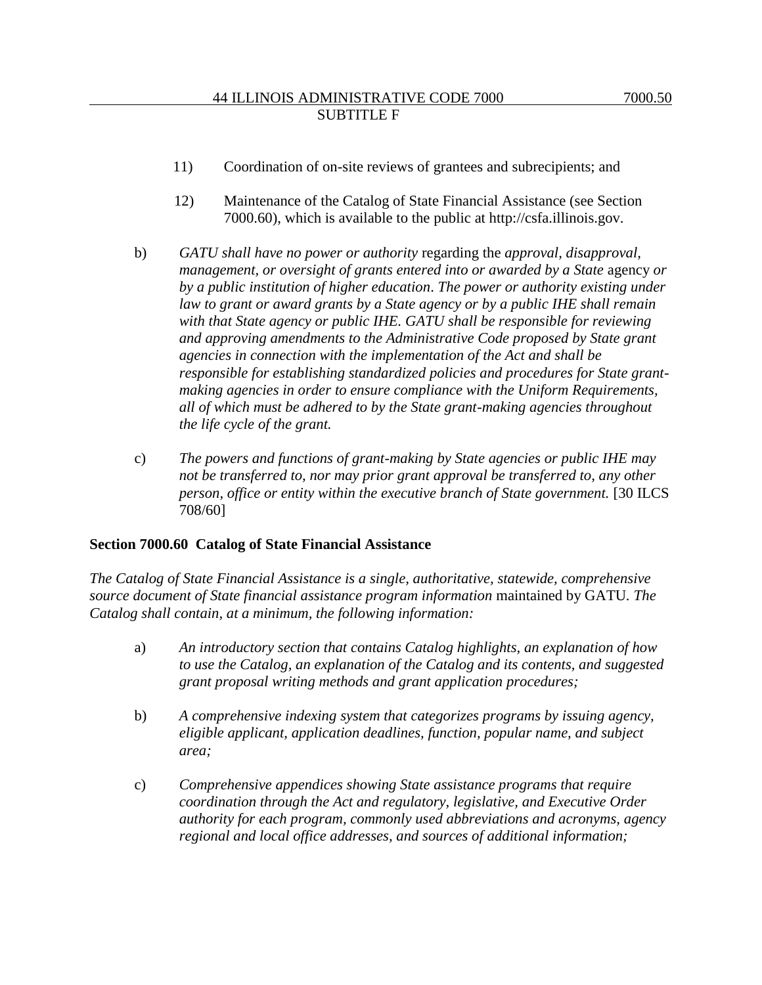- 11) Coordination of on-site reviews of grantees and subrecipients; and
- 12) Maintenance of the Catalog of State Financial Assistance (see Section 7000.60), which is available to the public at http://csfa.illinois.gov.
- b) *GATU shall have no power or authority* regarding the *approval, disapproval, management, or oversight of grants entered into or awarded by a State* agency *or by a public institution of higher education*. *The power or authority existing under law to grant or award grants by a State agency or by a public IHE shall remain with that State agency or public IHE. GATU shall be responsible for reviewing and approving amendments to the Administrative Code proposed by State grant agencies in connection with the implementation of the Act and shall be responsible for establishing standardized policies and procedures for State grantmaking agencies in order to ensure compliance with the Uniform Requirements, all of which must be adhered to by the State grant-making agencies throughout the life cycle of the grant.*
- c) *The powers and functions of grant-making by State agencies or public IHE may not be transferred to, nor may prior grant approval be transferred to, any other person, office or entity within the executive branch of State government.* [30 ILCS 708/60]

### **Section 7000.60 Catalog of State Financial Assistance**

*The Catalog of State Financial Assistance is a single, authoritative, statewide, comprehensive source document of State financial assistance program information* maintained by GATU*. The Catalog shall contain, at a minimum, the following information:*

- a) *An introductory section that contains Catalog highlights, an explanation of how to use the Catalog, an explanation of the Catalog and its contents, and suggested grant proposal writing methods and grant application procedures;*
- b) *A comprehensive indexing system that categorizes programs by issuing agency, eligible applicant, application deadlines, function, popular name, and subject area;*
- c) *Comprehensive appendices showing State assistance programs that require coordination through the Act and regulatory, legislative, and Executive Order authority for each program, commonly used abbreviations and acronyms, agency regional and local office addresses, and sources of additional information;*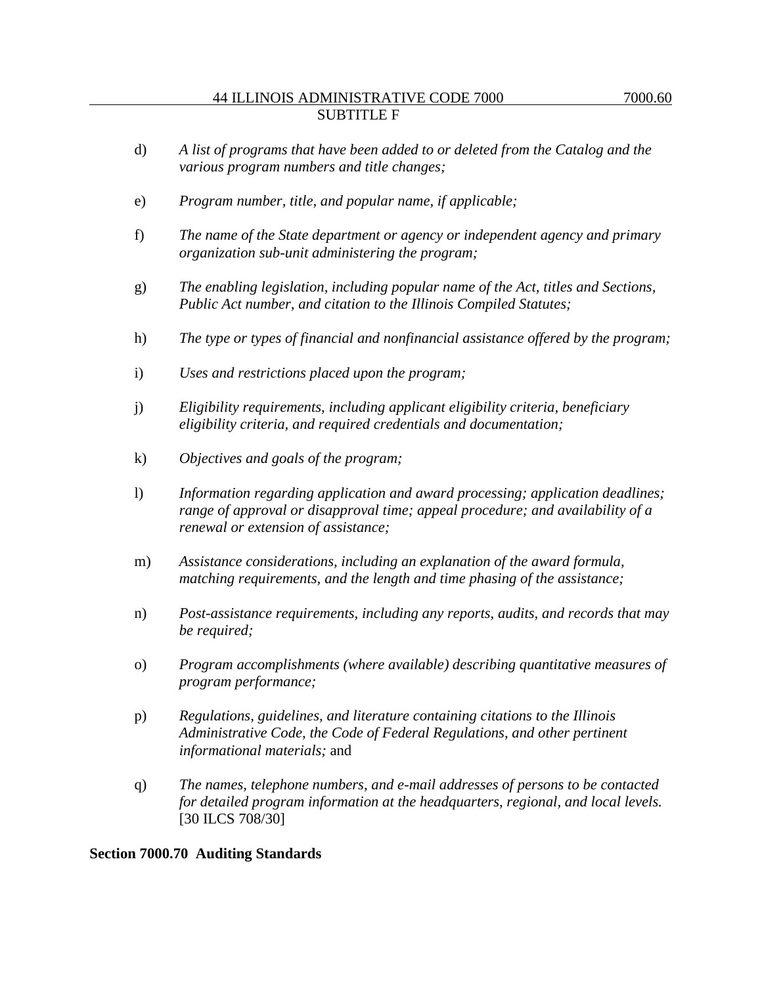- e) *Program number, title, and popular name, if applicable;*
- f) *The name of the State department or agency or independent agency and primary organization sub-unit administering the program;*
- g) *The enabling legislation, including popular name of the Act, titles and Sections, Public Act number, and citation to the Illinois Compiled Statutes;*
- h) *The type or types of financial and nonfinancial assistance offered by the program;*
- i) *Uses and restrictions placed upon the program;*
- j) *Eligibility requirements, including applicant eligibility criteria, beneficiary eligibility criteria, and required credentials and documentation;*
- k) *Objectives and goals of the program;*
- l) *Information regarding application and award processing; application deadlines; range of approval or disapproval time; appeal procedure; and availability of a renewal or extension of assistance;*
- m) *Assistance considerations, including an explanation of the award formula, matching requirements, and the length and time phasing of the assistance;*
- n) *Post-assistance requirements, including any reports, audits, and records that may be required;*
- o) *Program accomplishments (where available) describing quantitative measures of program performance;*
- p) *Regulations, guidelines, and literature containing citations to the Illinois Administrative Code, the Code of Federal Regulations, and other pertinent informational materials;* and
- q) *The names, telephone numbers, and e-mail addresses of persons to be contacted for detailed program information at the headquarters, regional, and local levels.*  [30 ILCS 708/30]

# **Section 7000.70 Auditing Standards**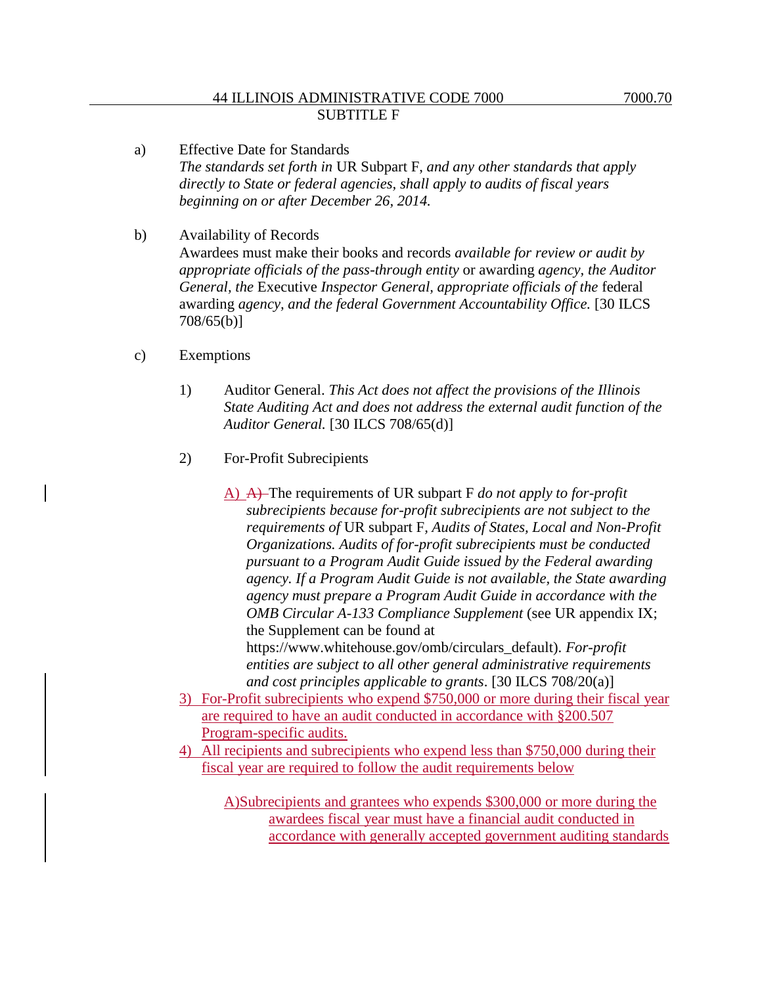- a) Effective Date for Standards *The standards set forth in* UR Subpart F, *and any other standards that apply directly to State or federal agencies, shall apply to audits of fiscal years beginning on or after December 26, 2014.*
- b) Availability of Records Awardees must make their books and records *available for review or audit by appropriate officials of the pass-through entity* or awarding *agency, the Auditor General, the* Executive *Inspector General, appropriate officials of the* federal awarding *agency, and the federal Government Accountability Office.* [30 ILCS 708/65(b)]
- c) Exemptions
	- 1) Auditor General. *This Act does not affect the provisions of the Illinois State Auditing Act and does not address the external audit function of the Auditor General.* [30 ILCS 708/65(d)]
	- 2) For-Profit Subrecipients
		- A) A) The requirements of UR subpart F *do not apply to for-profit subrecipients because for-profit subrecipients are not subject to the requirements of* UR subpart F*, Audits of States, Local and Non-Profit Organizations. Audits of for-profit subrecipients must be conducted pursuant to a Program Audit Guide issued by the Federal awarding agency. If a Program Audit Guide is not available, the State awarding agency must prepare a Program Audit Guide in accordance with the OMB Circular A-133 Compliance Supplement* (see UR appendix IX; the Supplement can be found at https://www.whitehouse.gov/omb/circulars\_default). *For-profit entities are subject to all other general administrative requirements*

*and cost principles applicable to grants*. [30 ILCS 708/20(a)]

- 3) For-Profit subrecipients who expend \$750,000 or more during their fiscal year are required to have an audit conducted in accordance with §200.507 Program-specific audits.
- 4) All recipients and subrecipients who expend less than \$750,000 during their fiscal year are required to follow the audit requirements below

A)Subrecipients and grantees who expends \$300,000 or more during the awardees fiscal year must have a financial audit conducted in accordance with generally accepted government auditing standards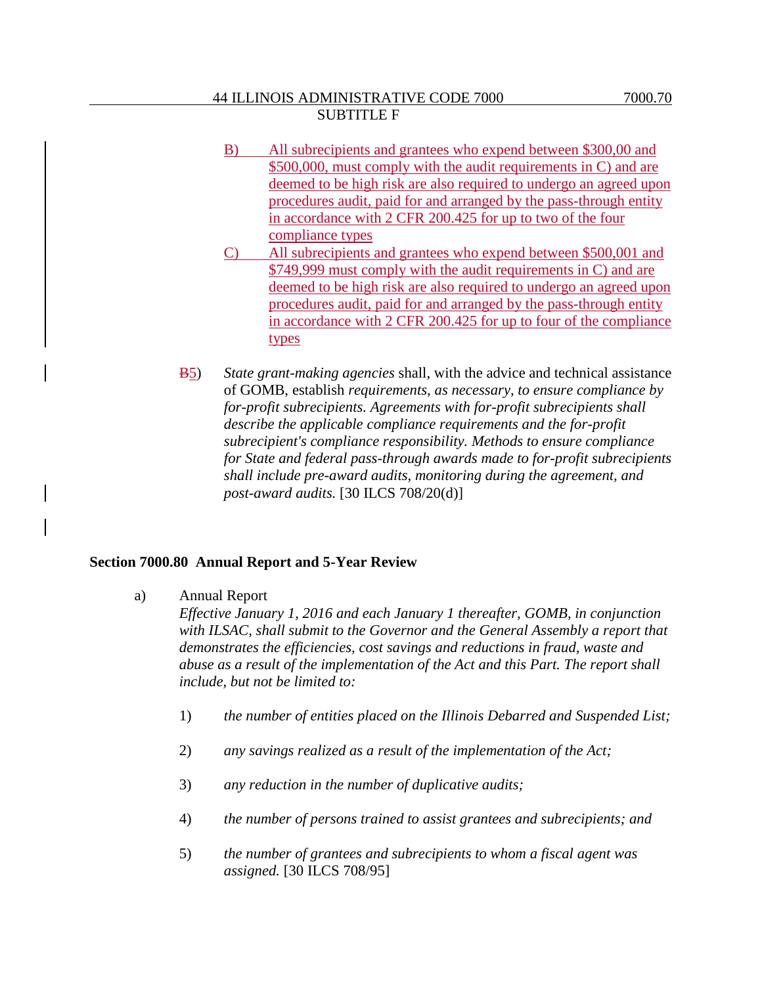- B) All subrecipients and grantees who expend between \$300,00 and \$500,000, must comply with the audit requirements in C) and are deemed to be high risk are also required to undergo an agreed upon procedures audit, paid for and arranged by the pass-through entity in accordance with 2 CFR 200.425 for up to two of the four compliance types
- C) All subrecipients and grantees who expend between \$500,001 and \$749,999 must comply with the audit requirements in C) and are deemed to be high risk are also required to undergo an agreed upon procedures audit, paid for and arranged by the pass-through entity in accordance with 2 CFR 200.425 for up to four of the compliance types
- B5) *State grant-making agencies* shall, with the advice and technical assistance of GOMB, establish *requirements, as necessary, to ensure compliance by for-profit subrecipients. Agreements with for-profit subrecipients shall describe the applicable compliance requirements and the for-profit subrecipient's compliance responsibility. Methods to ensure compliance for State and federal pass-through awards made to for-profit subrecipients shall include pre-award audits, monitoring during the agreement, and post-award audits.* [30 ILCS 708/20(d)]

### **Section 7000.80 Annual Report and 5-Year Review**

a) Annual Report

*Effective January 1, 2016 and each January 1 thereafter, GOMB, in conjunction with ILSAC, shall submit to the Governor and the General Assembly a report that demonstrates the efficiencies, cost savings and reductions in fraud, waste and abuse as a result of the implementation of the Act and this Part. The report shall include, but not be limited to:*

- 1) *the number of entities placed on the Illinois Debarred and Suspended List;*
- 2) *any savings realized as a result of the implementation of the Act;*
- 3) *any reduction in the number of duplicative audits;*
- 4) *the number of persons trained to assist grantees and subrecipients; and*
- 5) *the number of grantees and subrecipients to whom a fiscal agent was assigned.* [30 ILCS 708/95]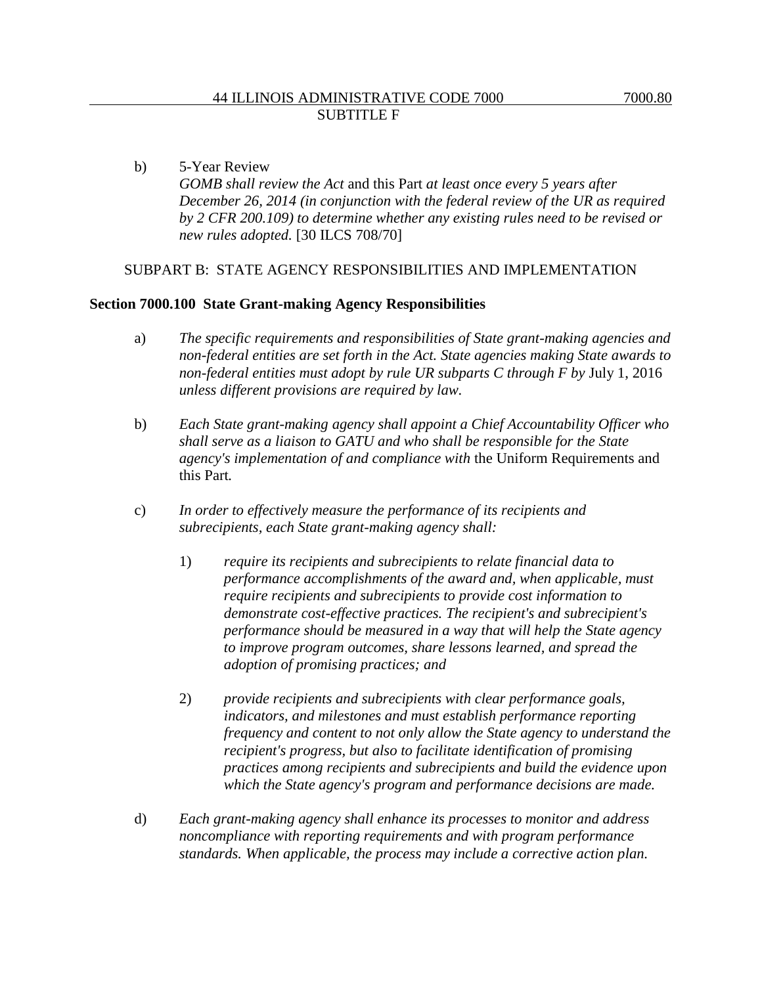b) 5-Year Review *GOMB shall review the Act* and this Part *at least once every 5 years after December 26, 2014 (in conjunction with the federal review of the UR as required by 2 CFR 200.109) to determine whether any existing rules need to be revised or new rules adopted.* [30 ILCS 708/70]

#### SUBPART B: STATE AGENCY RESPONSIBILITIES AND IMPLEMENTATION

#### **Section 7000.100 State Grant-making Agency Responsibilities**

- a) *The specific requirements and responsibilities of State grant-making agencies and non-federal entities are set forth in the Act. State agencies making State awards to non-federal entities must adopt by rule UR subparts C through F by July 1, 2016 unless different provisions are required by law.*
- b) *Each State grant-making agency shall appoint a Chief Accountability Officer who shall serve as a liaison to GATU and who shall be responsible for the State agency's implementation of and compliance with* the Uniform Requirements and this Part*.*
- c) *In order to effectively measure the performance of its recipients and subrecipients, each State grant-making agency shall:*
	- 1) *require its recipients and subrecipients to relate financial data to performance accomplishments of the award and, when applicable, must require recipients and subrecipients to provide cost information to demonstrate cost-effective practices. The recipient's and subrecipient's performance should be measured in a way that will help the State agency to improve program outcomes, share lessons learned, and spread the adoption of promising practices; and*
	- 2) *provide recipients and subrecipients with clear performance goals, indicators, and milestones and must establish performance reporting frequency and content to not only allow the State agency to understand the recipient's progress, but also to facilitate identification of promising practices among recipients and subrecipients and build the evidence upon which the State agency's program and performance decisions are made.*
- d) *Each grant-making agency shall enhance its processes to monitor and address noncompliance with reporting requirements and with program performance standards. When applicable, the process may include a corrective action plan.*